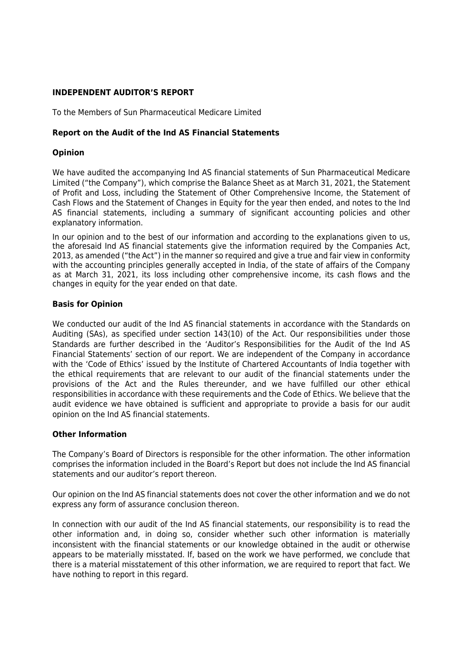# **INDEPENDENT AUDITOR'S REPORT**

To the Members of Sun Pharmaceutical Medicare Limited

# Report on the Audit of the Ind AS Financial Statements

# **Opinion**

We have audited the accompanying Ind AS financial statements of Sun Pharmaceutical Medicare Limited ("the Company"), which comprise the Balance Sheet as at March 31, 2021, the Statement of Profit and Loss, including the Statement of Other Comprehensive Income, the Statement of Cash Flows and the Statement of Changes in Equity for the year then ended, and notes to the Ind AS financial statements, including a summary of significant accounting policies and other explanatory information.

In our opinion and to the best of our information and according to the explanations given to us, the aforesaid Ind AS financial statements give the information required by the Companies Act, 2013, as amended ("the Act") in the manner so required and give a true and fair view in conformity with the accounting principles generally accepted in India, of the state of affairs of the Company as at March 31, 2021, its loss including other comprehensive income, its cash flows and the changes in equity for the year ended on that date.

# **Basis for Opinion**

We conducted our audit of the Ind AS financial statements in accordance with the Standards on Auditing (SAs), as specified under section 143(10) of the Act. Our responsibilities under those Standards are further described in the 'Auditor's Responsibilities for the Audit of the Ind AS Financial Statements' section of our report. We are independent of the Company in accordance with the 'Code of Ethics' issued by the Institute of Chartered Accountants of India together with the ethical requirements that are relevant to our audit of the financial statements under the provisions of the Act and the Rules thereunder, and we have fulfilled our other ethical responsibilities in accordance with these requirements and the Code of Ethics. We believe that the audit evidence we have obtained is sufficient and appropriate to provide a basis for our audit opinion on the Ind AS financial statements.

# **Other Information**

The Company's Board of Directors is responsible for the other information. The other information comprises the information included in the Board's Report but does not include the Ind AS financial statements and our auditor's report thereon.

Our opinion on the Ind AS financial statements does not cover the other information and we do not express any form of assurance conclusion thereon.

In connection with our audit of the Ind AS financial statements, our responsibility is to read the other information and, in doing so, consider whether such other information is materially inconsistent with the financial statements or our knowledge obtained in the audit or otherwise appears to be materially misstated. If, based on the work we have performed, we conclude that there is a material misstatement of this other information, we are required to report that fact. We have nothing to report in this regard.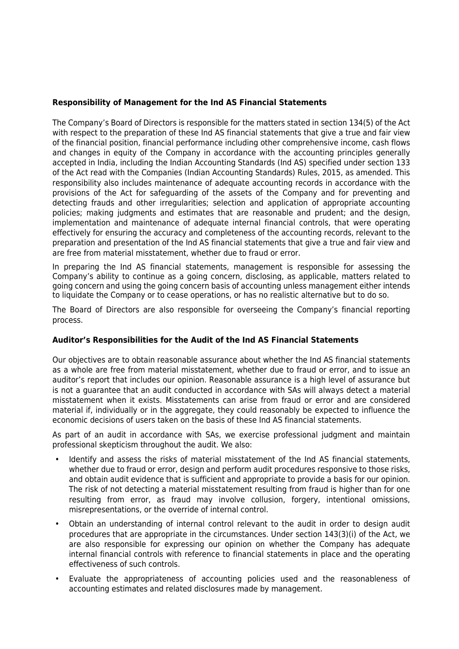# **Responsibility of Management for the Ind AS Financial Statements**

The Company's Board of Directors is responsible for the matters stated in section 134(5) of the Act with respect to the preparation of these Ind AS financial statements that give a true and fair view of the financial position, financial performance including other comprehensive income, cash flows and changes in equity of the Company in accordance with the accounting principles generally accepted in India, including the Indian Accounting Standards (Ind AS) specified under section 133 of the Act read with the Companies (Indian Accounting Standards) Rules, 2015, as amended. This responsibility also includes maintenance of adequate accounting records in accordance with the provisions of the Act for safeguarding of the assets of the Company and for preventing and detecting frauds and other irregularities; selection and application of appropriate accounting policies; making judgments and estimates that are reasonable and prudent; and the design, implementation and maintenance of adequate internal financial controls, that were operating effectively for ensuring the accuracy and completeness of the accounting records, relevant to the preparation and presentation of the Ind AS financial statements that give a true and fair view and are free from material misstatement, whether due to fraud or error.

In preparing the Ind AS financial statements, management is responsible for assessing the Company's ability to continue as a going concern, disclosing, as applicable, matters related to going concern and using the going concern basis of accounting unless management either intends to liquidate the Company or to cease operations, or has no realistic alternative but to do so.

The Board of Directors are also responsible for overseeing the Company's financial reporting process.

# Auditor's Responsibilities for the Audit of the Ind AS Financial Statements

Our objectives are to obtain reasonable assurance about whether the Ind AS financial statements as a whole are free from material misstatement, whether due to fraud or error, and to issue an auditor's report that includes our opinion. Reasonable assurance is a high level of assurance but is not a quarantee that an audit conducted in accordance with SAs will always detect a material misstatement when it exists. Misstatements can arise from fraud or error and are considered material if, individually or in the aggregate, they could reasonably be expected to influence the economic decisions of users taken on the basis of these Ind AS financial statements.

As part of an audit in accordance with SAs, we exercise professional judgment and maintain professional skepticism throughout the audit. We also:

- Identify and assess the risks of material misstatement of the Ind AS financial statements, whether due to fraud or error, design and perform audit procedures responsive to those risks. and obtain audit evidence that is sufficient and appropriate to provide a basis for our opinion. The risk of not detecting a material misstatement resulting from fraud is higher than for one resulting from error, as fraud may involve collusion, forgery, intentional omissions, misrepresentations, or the override of internal control.
- Obtain an understanding of internal control relevant to the audit in order to design audit procedures that are appropriate in the circumstances. Under section 143(3)(i) of the Act, we are also responsible for expressing our opinion on whether the Company has adequate internal financial controls with reference to financial statements in place and the operating effectiveness of such controls.
- Evaluate the appropriateness of accounting policies used and the reasonableness of accounting estimates and related disclosures made by management.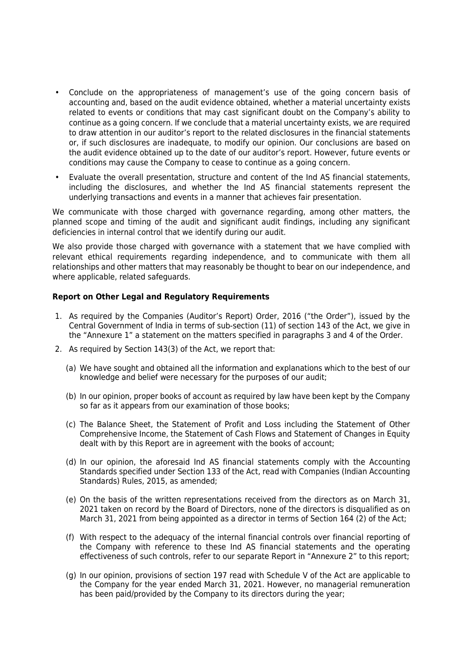- Conclude on the appropriateness of management's use of the going concern basis of accounting and, based on the audit evidence obtained, whether a material uncertainty exists related to events or conditions that may cast significant doubt on the Company's ability to continue as a going concern. If we conclude that a material uncertainty exists, we are required to draw attention in our auditor's report to the related disclosures in the financial statements or, if such disclosures are inadequate, to modify our opinion. Our conclusions are based on the audit evidence obtained up to the date of our auditor's report. However, future events or conditions may cause the Company to cease to continue as a going concern.
- Evaluate the overall presentation, structure and content of the Ind AS financial statements, including the disclosures, and whether the Ind AS financial statements represent the underlying transactions and events in a manner that achieves fair presentation.

We communicate with those charged with governance regarding, among other matters, the planned scope and timing of the audit and significant audit findings, including any significant deficiencies in internal control that we identify during our audit.

We also provide those charged with governance with a statement that we have complied with relevant ethical requirements regarding independence, and to communicate with them all relationships and other matters that may reasonably be thought to bear on our independence, and where applicable, related safeguards.

# **Report on Other Legal and Regulatory Requirements**

- 1. As required by the Companies (Auditor's Report) Order, 2016 ("the Order"), issued by the Central Government of India in terms of sub-section (11) of section 143 of the Act, we give in the "Annexure 1" a statement on the matters specified in paragraphs 3 and 4 of the Order.
- 2. As required by Section 143(3) of the Act, we report that:
	- (a) We have sought and obtained all the information and explanations which to the best of our knowledge and belief were necessary for the purposes of our audit;
	- (b) In our opinion, proper books of account as required by law have been kept by the Company so far as it appears from our examination of those books;
	- (c) The Balance Sheet, the Statement of Profit and Loss including the Statement of Other Comprehensive Income, the Statement of Cash Flows and Statement of Changes in Equity dealt with by this Report are in agreement with the books of account;
	- (d) In our opinion, the aforesaid Ind AS financial statements comply with the Accounting Standards specified under Section 133 of the Act, read with Companies (Indian Accounting Standards) Rules, 2015, as amended:
	- (e) On the basis of the written representations received from the directors as on March 31, 2021 taken on record by the Board of Directors, none of the directors is disqualified as on March 31, 2021 from being appointed as a director in terms of Section 164 (2) of the Act;
	- (f) With respect to the adequacy of the internal financial controls over financial reporting of the Company with reference to these Ind AS financial statements and the operating effectiveness of such controls, refer to our separate Report in "Annexure 2" to this report;
	- (g) In our opinion, provisions of section 197 read with Schedule V of the Act are applicable to the Company for the year ended March 31, 2021. However, no managerial remuneration has been paid/provided by the Company to its directors during the year;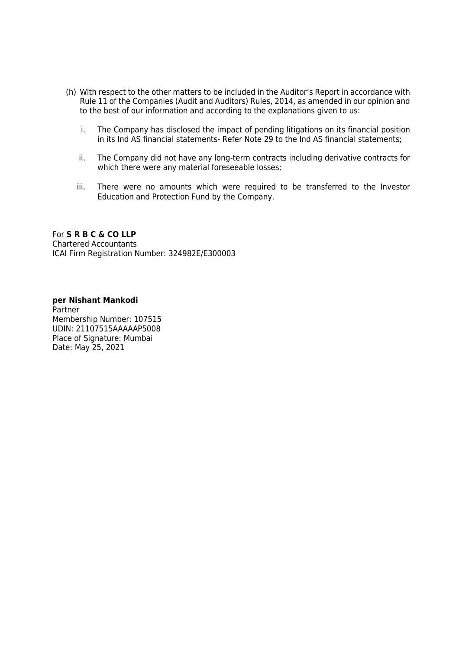- (h) With respect to the other matters to be included in the Auditor's Report in accordance with Rule 11 of the Companies (Audit and Auditors) Rules, 2014, as amended in our opinion and to the best of our information and according to the explanations given to us:
	- The Company has disclosed the impact of pending litigations on its financial position i. in its Ind AS financial statements- Refer Note 29 to the Ind AS financial statements;
	- ii. The Company did not have any long-term contracts including derivative contracts for which there were any material foreseeable losses;
	- iii. There were no amounts which were required to be transferred to the Investor Education and Protection Fund by the Company.

# For S R B C & CO LLP

**Chartered Accountants** ICAI Firm Registration Number: 324982E/E300003

per Nishant Mankodi Partner Membership Number: 107515 UDIN: 21107515AAAAAP5008 Place of Signature: Mumbai Date: May 25, 2021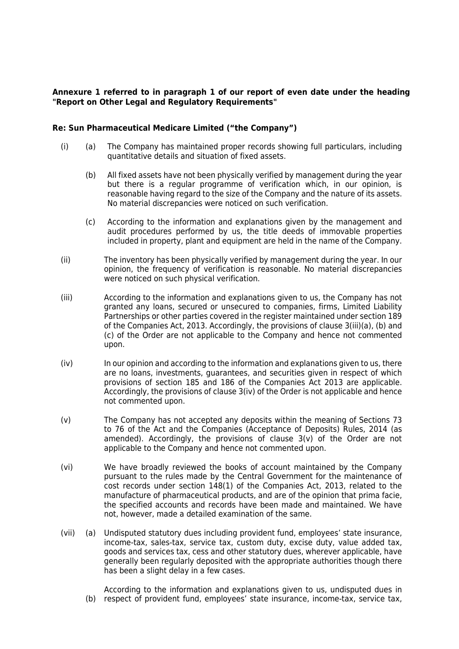# Annexure 1 referred to in paragraph 1 of our report of even date under the heading "Report on Other Legal and Regulatory Requirements"

# **Re: Sun Pharmaceutical Medicare Limited ("the Company")**

- $(i)$ The Company has maintained proper records showing full particulars, including  $(a)$ quantitative details and situation of fixed assets.
	- $(b)$ All fixed assets have not been physically verified by management during the year but there is a regular programme of verification which, in our opinion, is reasonable having regard to the size of the Company and the nature of its assets. No material discrepancies were noticed on such verification.
	- According to the information and explanations given by the management and  $(c)$ audit procedures performed by us, the title deeds of immovable properties included in property, plant and equipment are held in the name of the Company.
- $(iii)$ The inventory has been physically verified by management during the year. In our opinion, the frequency of verification is reasonable. No material discrepancies were noticed on such physical verification.
- $(iii)$ According to the information and explanations given to us, the Company has not granted any loans, secured or unsecured to companies, firms, Limited Liability Partnerships or other parties covered in the register maintained under section 189 of the Companies Act, 2013. Accordingly, the provisions of clause 3(iii)(a), (b) and (c) of the Order are not applicable to the Company and hence not commented upon.
- In our opinion and according to the information and explanations given to us, there  $(iv)$ are no loans, investments, quarantees, and securities given in respect of which provisions of section 185 and 186 of the Companies Act 2013 are applicable. Accordingly, the provisions of clause 3(iv) of the Order is not applicable and hence not commented upon.
- $(v)$ The Company has not accepted any deposits within the meaning of Sections 73 to 76 of the Act and the Companies (Acceptance of Deposits) Rules, 2014 (as amended). Accordingly, the provisions of clause  $3(v)$  of the Order are not applicable to the Company and hence not commented upon.
- $(vi)$ We have broadly reviewed the books of account maintained by the Company pursuant to the rules made by the Central Government for the maintenance of cost records under section 148(1) of the Companies Act, 2013, related to the manufacture of pharmaceutical products, and are of the opinion that prima facie, the specified accounts and records have been made and maintained. We have not, however, made a detailed examination of the same.
- (vii) (a) Undisputed statutory dues including provident fund, employees' state insurance, income-tax, sales-tax, service tax, custom duty, excise duty, value added tax, goods and services tax, cess and other statutory dues, wherever applicable, have generally been regularly deposited with the appropriate authorities though there has been a slight delay in a few cases.
	- According to the information and explanations given to us, undisputed dues in (b) respect of provident fund, employees' state insurance, income-tax, service tax,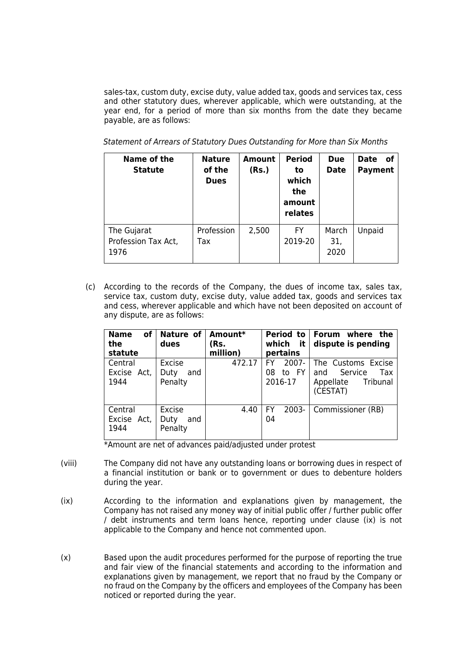sales-tax, custom duty, excise duty, value added tax, goods and services tax, cess and other statutory dues, wherever applicable, which were outstanding, at the year end, for a period of more than six months from the date they became payable, are as follows:

| Name of the<br><b>Statute</b>              | <b>Nature</b><br>of the<br><b>Dues</b> | <b>Amount</b><br>(Rs.) | <b>Period</b><br>to<br>which<br>the<br>amount<br>relates | <b>Due</b><br><b>Date</b> | <b>Date</b><br>of<br><b>Payment</b> |
|--------------------------------------------|----------------------------------------|------------------------|----------------------------------------------------------|---------------------------|-------------------------------------|
| The Gujarat<br>Profession Tax Act,<br>1976 | Profession<br>Tax                      | 2,500                  | FY.<br>2019-20                                           | March<br>31,<br>2020      | Unpaid                              |

Statement of Arrears of Statutory Dues Outstanding for More than Six Months

(c) According to the records of the Company, the dues of income tax, sales tax, service tax, custom duty, excise duty, value added tax, goods and services tax and cess, wherever applicable and which have not been deposited on account of any dispute, are as follows:

| of <sub>l</sub><br><b>Name</b><br>the<br>statute | Nature of $ $<br>dues                   | Amount*<br>(Rs.<br>million) | Period to<br>which it<br>pertains        | Forum<br>where the<br>dispute is pending                                      |
|--------------------------------------------------|-----------------------------------------|-----------------------------|------------------------------------------|-------------------------------------------------------------------------------|
| Central<br>Excise Act,<br>1944                   | <b>Excise</b><br>Duty<br>and<br>Penalty | 472.17                      | $2007 -$<br>FY<br>to FY<br>08<br>2016-17 | The Customs Excise<br>Service<br>and<br>Tax<br>Appellate Tribunal<br>(CESTAT) |
| Central<br>Excise Act,<br>1944                   | Excise<br>Duty<br>and<br>Penalty        | 4.40                        | 2003-<br><b>FY</b><br>04                 | Commissioner (RB)                                                             |

<u>Letter that the set of advances</u> paid/adjusted under protest

- $(viii)$ The Company did not have any outstanding loans or borrowing dues in respect of a financial institution or bank or to government or dues to debenture holders during the year.
- $(ix)$ According to the information and explanations given by management, the Company has not raised any money way of initial public offer / further public offer / debt instruments and term loans hence, reporting under clause (ix) is not applicable to the Company and hence not commented upon.
- $(x)$ Based upon the audit procedures performed for the purpose of reporting the true and fair view of the financial statements and according to the information and explanations given by management, we report that no fraud by the Company or no fraud on the Company by the officers and employees of the Company has been noticed or reported during the year.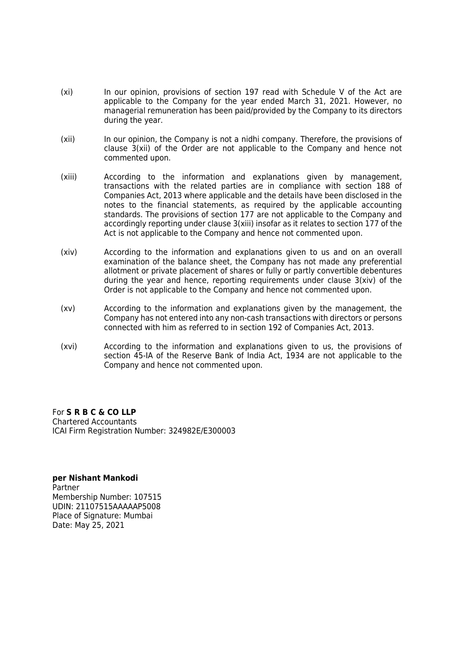- $(x<sub>i</sub>)$ In our opinion, provisions of section 197 read with Schedule V of the Act are applicable to the Company for the year ended March 31, 2021. However, no managerial remuneration has been paid/provided by the Company to its directors during the year.
- $(xii)$ In our opinion, the Company is not a nidhi company. Therefore, the provisions of clause 3(xii) of the Order are not applicable to the Company and hence not commented upon.
- According to the information and explanations given by management,  $(xiii)$ transactions with the related parties are in compliance with section 188 of Companies Act, 2013 where applicable and the details have been disclosed in the notes to the financial statements, as required by the applicable accounting standards. The provisions of section 177 are not applicable to the Company and accordingly reporting under clause 3(xiii) insofar as it relates to section 177 of the Act is not applicable to the Company and hence not commented upon.
- $(xiv)$ According to the information and explanations given to us and on an overall examination of the balance sheet, the Company has not made any preferential allotment or private placement of shares or fully or partly convertible debentures during the year and hence, reporting requirements under clause  $3(xiv)$  of the Order is not applicable to the Company and hence not commented upon.
- $(xv)$ According to the information and explanations given by the management, the Company has not entered into any non-cash transactions with directors or persons connected with him as referred to in section 192 of Companies Act, 2013.
- According to the information and explanations given to us, the provisions of  $(xvi)$ section 45-IA of the Reserve Bank of India Act, 1934 are not applicable to the Company and hence not commented upon.

For S R B C & CO LLP **Chartered Accountants** ICAI Firm Registration Number: 324982E/E300003

per Nishant Mankodi

Partner Membership Number: 107515 UDIN: 21107515AAAAAP5008 Place of Signature: Mumbai Date: May 25, 2021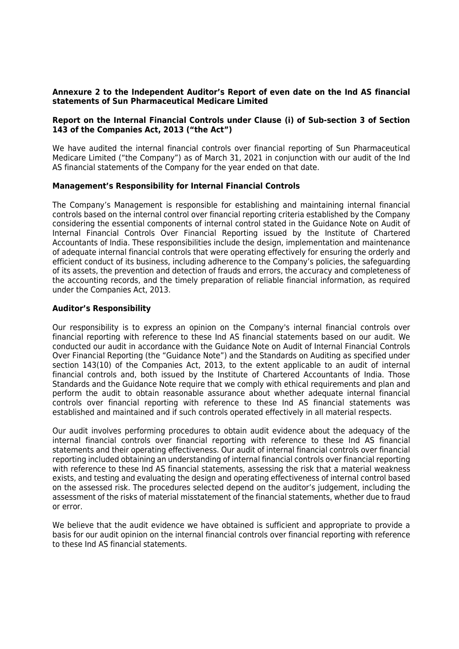# Annexure 2 to the Independent Auditor's Report of even date on the Ind AS financial statements of Sun Pharmaceutical Medicare Limited

# Report on the Internal Financial Controls under Clause (i) of Sub-section 3 of Section 143 of the Companies Act. 2013 ("the Act")

We have audited the internal financial controls over financial reporting of Sun Pharmaceutical Medicare Limited ("the Company") as of March 31, 2021 in conjunction with our audit of the Ind AS financial statements of the Company for the year ended on that date.

# **Management's Responsibility for Internal Financial Controls**

The Company's Management is responsible for establishing and maintaining internal financial controls based on the internal control over financial reporting criteria established by the Company considering the essential components of internal control stated in the Guidance Note on Audit of Internal Financial Controls Over Financial Reporting issued by the Institute of Chartered Accountants of India. These responsibilities include the design, implementation and maintenance of adequate internal financial controls that were operating effectively for ensuring the orderly and efficient conduct of its business, including adherence to the Company's policies, the safeguarding of its assets, the prevention and detection of frauds and errors, the accuracy and completeness of the accounting records, and the timely preparation of reliable financial information, as required under the Companies Act. 2013.

# **Auditor's Responsibility**

Our responsibility is to express an opinion on the Company's internal financial controls over financial reporting with reference to these Ind AS financial statements based on our audit. We conducted our audit in accordance with the Guidance Note on Audit of Internal Financial Controls Over Financial Reporting (the "Guidance Note") and the Standards on Auditing as specified under section 143(10) of the Companies Act, 2013, to the extent applicable to an audit of internal financial controls and, both issued by the Institute of Chartered Accountants of India. Those Standards and the Guidance Note require that we comply with ethical requirements and plan and perform the audit to obtain reasonable assurance about whether adequate internal financial controls over financial reporting with reference to these Ind AS financial statements was established and maintained and if such controls operated effectively in all material respects.

Our audit involves performing procedures to obtain audit evidence about the adequacy of the internal financial controls over financial reporting with reference to these Ind AS financial statements and their operating effectiveness. Our audit of internal financial controls over financial reporting included obtaining an understanding of internal financial controls over financial reporting with reference to these Ind AS financial statements, assessing the risk that a material weakness exists, and testing and evaluating the design and operating effectiveness of internal control based on the assessed risk. The procedures selected depend on the auditor's judgement, including the assessment of the risks of material misstatement of the financial statements, whether due to fraud or error.

We believe that the audit evidence we have obtained is sufficient and appropriate to provide a basis for our audit opinion on the internal financial controls over financial reporting with reference to these Ind AS financial statements.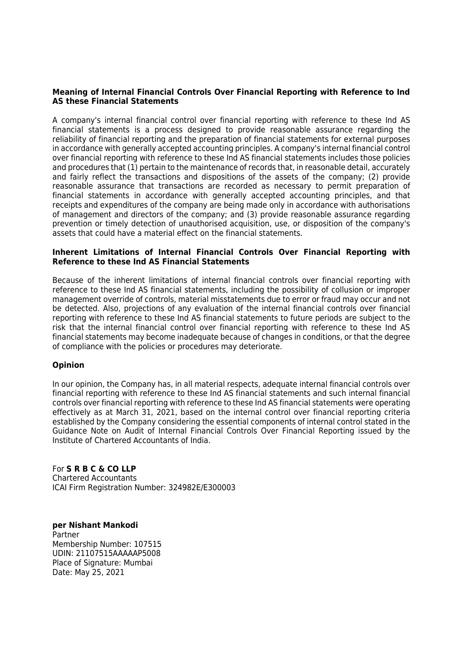# Meaning of Internal Financial Controls Over Financial Reporting with Reference to Ind **AS these Financial Statements**

A company's internal financial control over financial reporting with reference to these Ind AS financial statements is a process designed to provide reasonable assurance regarding the reliability of financial reporting and the preparation of financial statements for external purposes in accordance with generally accepted accounting principles. A company's internal financial control over financial reporting with reference to these Ind AS financial statements includes those policies and procedures that (1) pertain to the maintenance of records that, in reasonable detail, accurately and fairly reflect the transactions and dispositions of the assets of the company; (2) provide reasonable assurance that transactions are recorded as necessary to permit preparation of financial statements in accordance with generally accepted accounting principles, and that receipts and expenditures of the company are being made only in accordance with authorisations of management and directors of the company; and (3) provide reasonable assurance regarding prevention or timely detection of unauthorised acquisition, use, or disposition of the company's assets that could have a material effect on the financial statements.

# Inherent Limitations of Internal Financial Controls Over Financial Reporting with Reference to these Ind AS Financial Statements

Because of the inherent limitations of internal financial controls over financial reporting with reference to these Ind AS financial statements, including the possibility of collusion or improper management override of controls, material misstatements due to error or fraud may occur and not be detected. Also, projections of any evaluation of the internal financial controls over financial reporting with reference to these Ind AS financial statements to future periods are subject to the risk that the internal financial control over financial reporting with reference to these Ind AS financial statements may become inadequate because of changes in conditions, or that the degree of compliance with the policies or procedures may deteriorate.

# **Opinion**

In our opinion, the Company has, in all material respects, adequate internal financial controls over financial reporting with reference to these Ind AS financial statements and such internal financial controls over financial reporting with reference to these Ind AS financial statements were operating effectively as at March 31, 2021, based on the internal control over financial reporting criteria established by the Company considering the essential components of internal control stated in the Guidance Note on Audit of Internal Financial Controls Over Financial Reporting issued by the Institute of Chartered Accountants of India.

# For S R B C & CO LLP

**Chartered Accountants** ICAI Firm Registration Number: 324982E/E300003

per Nishant Mankodi Partner Membership Number: 107515 UDIN: 21107515AAAAAP5008 Place of Signature: Mumbai Date: May 25, 2021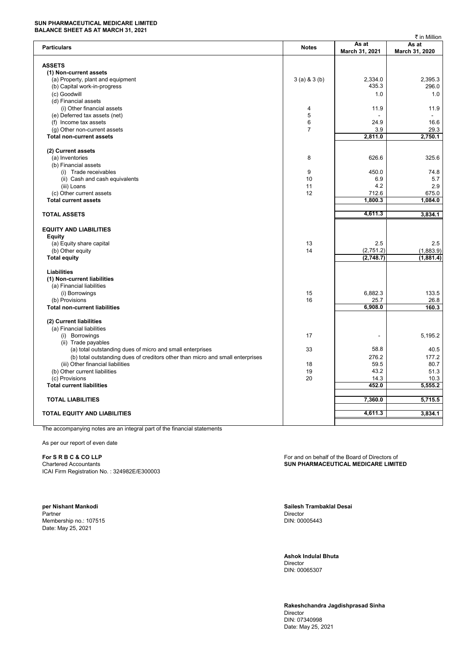### **SUN PHARMACEUTICAL MEDICARE LIMITED BALANCE SHEET AS AT MARCH 31, 2021**

|                                                                                |                |                         | ₹ in Million            |
|--------------------------------------------------------------------------------|----------------|-------------------------|-------------------------|
| <b>Particulars</b>                                                             | <b>Notes</b>   | As at<br>March 31, 2021 | As at<br>March 31, 2020 |
| <b>ASSETS</b>                                                                  |                |                         |                         |
| (1) Non-current assets                                                         |                |                         |                         |
| (a) Property, plant and equipment                                              | 3(a) 8 3(b)    | 2,334.0                 | 2,395.3                 |
| (b) Capital work-in-progress                                                   |                | 435.3                   | 296.0                   |
| (c) Goodwill                                                                   |                | 1.0                     | 1.0                     |
| (d) Financial assets                                                           |                |                         |                         |
| (i) Other financial assets                                                     | 4              | 11.9                    | 11.9                    |
| (e) Deferred tax assets (net)                                                  | 5              |                         |                         |
| (f) Income tax assets                                                          | 6              | 24.9                    | 16.6                    |
| (g) Other non-current assets                                                   | $\overline{7}$ | 3.9                     | 29.3                    |
| <b>Total non-current assets</b>                                                |                | 2,811.0                 | 2,750.1                 |
| (2) Current assets                                                             |                |                         |                         |
| (a) Inventories                                                                | 8              | 626.6                   | 325.6                   |
| (b) Financial assets                                                           |                |                         |                         |
| (i) Trade receivables                                                          | 9              | 450.0                   | 74.8                    |
| (ii) Cash and cash equivalents                                                 | 10             | 6.9                     | 5.7                     |
| (iii) Loans                                                                    | 11             | 4.2                     | 2.9                     |
| (c) Other current assets                                                       | 12             | 712.6                   | 675.0                   |
| <b>Total current assets</b>                                                    |                | 1,800.3                 | 1,084.0                 |
| <b>TOTAL ASSETS</b>                                                            |                | 4,611.3                 | 3,834.1                 |
| <b>EQUITY AND LIABILITIES</b>                                                  |                |                         |                         |
| Equity                                                                         |                |                         |                         |
| (a) Equity share capital                                                       | 13             | 2.5                     | 2.5                     |
| (b) Other equity                                                               | 14             | (2,751.2)               | (1,883.9)               |
| <b>Total equity</b>                                                            |                | (2,748.7)               | (1,881.4)               |
| <b>Liabilities</b>                                                             |                |                         |                         |
| (1) Non-current liabilities                                                    |                |                         |                         |
| (a) Financial liabilities                                                      |                |                         |                         |
| (i) Borrowings                                                                 | 15             | 6,882.3                 | 133.5                   |
| (b) Provisions                                                                 | 16             | 25.7                    | 26.8                    |
| <b>Total non-current liabilities</b>                                           |                | 6,908.0                 | 160.3                   |
|                                                                                |                |                         |                         |
| (2) Current liabilities                                                        |                |                         |                         |
| (a) Financial liabilities                                                      |                |                         |                         |
| (i) Borrowings                                                                 | 17             |                         | 5,195.2                 |
| (ii) Trade payables                                                            |                |                         |                         |
| (a) total outstanding dues of micro and small enterprises                      | 33             | 58.8                    | 40.5                    |
| (b) total outstanding dues of creditors other than micro and small enterprises |                | 276.2                   | 177.2                   |
| (iii) Other financial liabilities                                              | 18             | 59.5                    | 80.7                    |
| (b) Other current liabilities                                                  | 19             | 43.2                    | 51.3                    |
| (c) Provisions                                                                 | 20             | 14.3                    | 10.3                    |
| <b>Total current liabilities</b>                                               |                | 452.0                   | 5,555.2                 |
| <b>TOTAL LIABILITIES</b>                                                       |                | 7,360.0                 | 5,715.5                 |
|                                                                                |                |                         |                         |
| <b>TOTAL EQUITY AND LIABILITIES</b>                                            |                | 4,611.3                 | 3,834.1                 |
|                                                                                |                |                         |                         |

The accompanying notes are an integral part of the financial statements

As per our report of even date

ICAI Firm Registration No. : 324982E/E300003

Partner Director Membership no.: 107515 DIN: 00005443 Date: May 25, 2021

**For S R B C & CO LLP For and on behalf of the Board of Directors of** Chartered Accountants **SUN PHARMACEUTICAL MEDICARE LIMITED**

**Sailesh Trambaklal Desai**<br>Director

**Ashok Indulal Bhuta** Director DIN: 00065307

**Rakeshchandra Jagdishprasad Sinha** Director DIN: 07340998 Date: May 25, 2021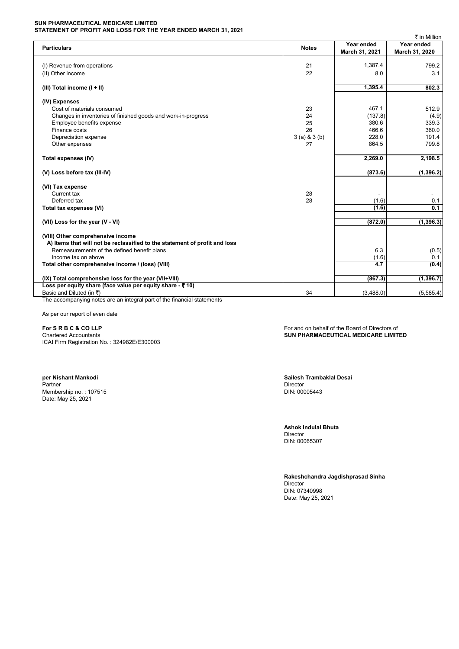### **SUN PHARMACEUTICAL MEDICARE LIMITED STATEMENT OF PROFIT AND LOSS FOR THE YEAR ENDED MARCH 31, 2021**

|                                                                            |              |                | ₹ in Million   |
|----------------------------------------------------------------------------|--------------|----------------|----------------|
|                                                                            |              | Year ended     | Year ended     |
| <b>Particulars</b>                                                         | <b>Notes</b> | March 31, 2021 | March 31, 2020 |
|                                                                            |              |                |                |
| (I) Revenue from operations                                                | 21           | 1,387.4        | 799.2          |
| (II) Other income                                                          | 22           | 8.0            | 3.1            |
|                                                                            |              |                |                |
| (III) Total income $(I + II)$                                              |              | 1,395.4        | 802.3          |
|                                                                            |              |                |                |
| (IV) Expenses                                                              |              |                |                |
| Cost of materials consumed                                                 | 23           | 467.1          | 512.9          |
| Changes in inventories of finished goods and work-in-progress              | 24           | (137.8)        | (4.9)          |
| Employee benefits expense                                                  | 25           | 380.6          | 339.3          |
| Finance costs                                                              | 26           | 466.6          | 360.0          |
| Depreciation expense                                                       | 3(a) 8 3(b)  | 228.0          | 191.4          |
| Other expenses                                                             | 27           | 864.5          | 799.8          |
|                                                                            |              |                |                |
| <b>Total expenses (IV)</b>                                                 |              | 2,269.0        | 2,198.5        |
|                                                                            |              |                |                |
| (V) Loss before tax (III-IV)                                               |              | (873.6)        | (1, 396.2)     |
|                                                                            |              |                |                |
| (VI) Tax expense                                                           |              |                |                |
| Current tax                                                                | 28           |                |                |
| Deferred tax                                                               | 28           | (1.6)          | 0.1            |
| Total tax expenses (VI)                                                    |              | (1.6)          | 0.1            |
|                                                                            |              |                |                |
| (VII) Loss for the year (V - VI)                                           |              | (872.0)        | (1, 396.3)     |
|                                                                            |              |                |                |
| (VIII) Other comprehensive income                                          |              |                |                |
| A) Items that will not be reclassified to the statement of profit and loss |              |                |                |
| Remeasurements of the defined benefit plans                                |              | 6.3            | (0.5)          |
| Income tax on above                                                        |              | (1.6)          | 0.1            |
| Total other comprehensive income / (loss) (VIII)                           |              | 4.7            | (0.4)          |
|                                                                            |              |                |                |
| (IX) Total comprehensive loss for the year (VII+VIII)                      |              | (867.3)        | (1, 396.7)     |
| Loss per equity share (face value per equity share - ₹10)                  |              |                |                |
| Basic and Diluted (in ₹)                                                   | 34           | (3,488.0)      | (5,585.4)      |

The accompanying notes are an integral part of the financial statements

As per our report of even date

ICAI Firm Registration No. : 324982E/E300003

Partner Director Communication and the communication of the communication of the Director Membership no. : 107515 **Dinnership no. : 107515** Date: May 25, 2021

**For S R B C & CO LLP**<br>
Chartered Accountants<br>
Chartered Accountants **SUN PHARMACEUTICAL MEDICARE LIMITED** 

**per Nishant Mankodi Sailesh Trambaklal Desai**

**Ashok Indulal Bhuta** Director DIN: 00065307

**Rakeshchandra Jagdishprasad Sinha** Director DIN: 07340998 Date: May 25, 2021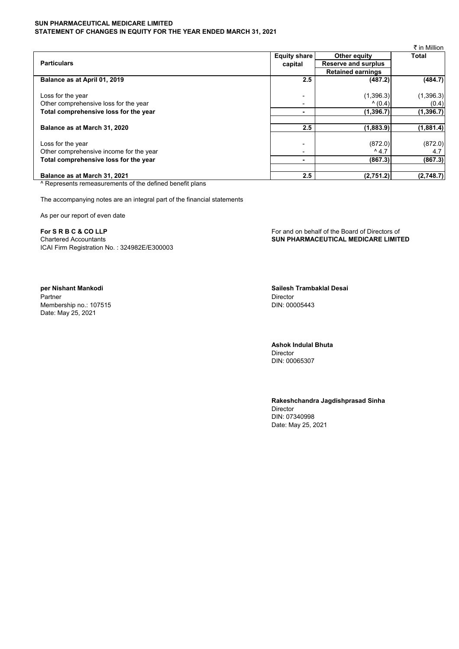### **SUN PHARMACEUTICAL MEDICARE LIMITED STATEMENT OF CHANGES IN EQUITY FOR THE YEAR ENDED MARCH 31, 2021**

|                                         |                          |                            | ₹ in Million |
|-----------------------------------------|--------------------------|----------------------------|--------------|
|                                         | Equity share             | Other equity               | <b>Total</b> |
| <b>Particulars</b>                      | capital                  | <b>Reserve and surplus</b> |              |
|                                         |                          | <b>Retained earnings</b>   |              |
| Balance as at April 01, 2019            | 2.5                      | (487.2)                    | (484.7)      |
|                                         |                          |                            |              |
| Loss for the year                       | -                        | (1,396.3)                  | (1,396.3)    |
| Other comprehensive loss for the year   | $\overline{\phantom{0}}$ | $^{\wedge}$ (0.4)          | (0.4)        |
| Total comprehensive loss for the year   |                          | (1, 396.7)                 | (1, 396.7)   |
|                                         |                          |                            |              |
| Balance as at March 31, 2020            | 2.5                      | (1,883.9)                  | (1,881.4)    |
|                                         |                          |                            |              |
| Loss for the year                       | -                        | (872.0)                    | (872.0)      |
| Other comprehensive income for the year | -                        | $^{\wedge}$ 4.7            | 4.7          |
| Total comprehensive loss for the year   |                          | (867.3)                    | (867.3)      |
|                                         |                          |                            |              |
| Balance as at March 31, 2021            | 2.5                      | $(2,751.\overline{2})$     | (2,748.7)    |

^ Represents remeasurements of the defined benefit plans

The accompanying notes are an integral part of the financial statements

As per our report of even date

ICAI Firm Registration No. : 324982E/E300003

Partner Director Communication and the communication of the communication of the Director Membership no.: 107515 DIN: 00005443 Date: May 25, 2021

**For S R B C & CO LLP** For and on behalf of the Board of Directors of Chartered Accountants **For and SUN PHARMACEUTICAL MEDICARE LIMIT SUN PHARMACEUTICAL MEDICARE LIMITED** 

**per Nishant Mankodi Sailesh Trambaklal Desai**

**Ashok Indulal Bhuta** Director DIN: 00065307

**Rakeshchandra Jagdishprasad Sinha** Director

DIN: 07340998 Date: May 25, 2021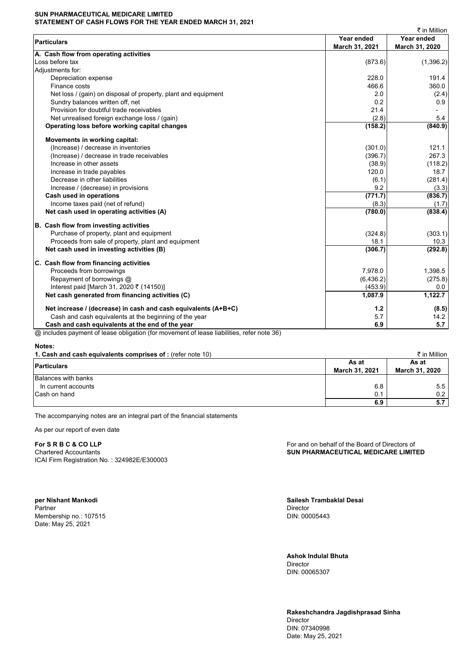### **SUN PHARMACEUTICAL MEDICARE LIMITED STATEMENT OF CASH FLOWS FOR THE YEAR ENDED MARCH 31, 2021**

|                                                                                           |                | ₹ in Million   |
|-------------------------------------------------------------------------------------------|----------------|----------------|
| <b>Particulars</b>                                                                        | Year ended     | Year ended     |
|                                                                                           | March 31, 2021 | March 31, 2020 |
| A. Cash flow from operating activities                                                    |                |                |
| Loss before tax                                                                           | (873.6)        | (1,396.2)      |
| Adjustments for:                                                                          |                |                |
| Depreciation expense                                                                      | 228.0          | 191.4          |
| Finance costs                                                                             | 466.6          | 360.0          |
| Net loss / (gain) on disposal of property, plant and equipment                            | 2.0            | (2.4)          |
| Sundry balances written off, net                                                          | 0.2            | 0.9            |
| Provision for doubtful trade receivables                                                  | 21.4           |                |
| Net unrealised foreign exchange loss / (gain)                                             | (2.8)          | 5.4            |
| Operating loss before working capital changes                                             | (158.2)        | (840.9)        |
| Movements in working capital:                                                             |                |                |
| (Increase) / decrease in inventories                                                      | (301.0)        | 121.1          |
| (Increase) / decrease in trade receivables                                                | (396.7)        | 267.3          |
| Increase in other assets                                                                  | (38.9)         | (118.2)        |
| Increase in trade payables                                                                | 120.0          | 18.7           |
| Decrease in other liabilities                                                             | (6.1)          | (281.4)        |
| Increase / (decrease) in provisions                                                       | 9.2            | (3.3)          |
| Cash used in operations                                                                   | (771.7)        | (836.7)        |
| Income taxes paid (net of refund)                                                         | (8.3)          | (1.7)          |
| Net cash used in operating activities (A)                                                 | (780.0)        | (838.4)        |
| B. Cash flow from investing activities                                                    |                |                |
| Purchase of property, plant and equipment                                                 | (324.8)        | (303.1)        |
| Proceeds from sale of property, plant and equipment                                       | 18.1           | 10.3           |
| Net cash used in investing activities (B)                                                 | (306.7)        | (292.8)        |
| C. Cash flow from financing activities                                                    |                |                |
| Proceeds from borrowings                                                                  | 7,978.0        | 1,398.5        |
| Repayment of borrowings @                                                                 | (6, 436.2)     | (275.8)        |
| Interest paid [March 31, 2020 ₹ (14150)]                                                  | (453.9)        | 0.0            |
| Net cash generated from financing activities (C)                                          | 1,087.9        | 1,122.7        |
| Net increase / (decrease) in cash and cash equivalents (A+B+C)                            | 1.2            | (8.5)          |
| Cash and cash equivalents at the beginning of the year                                    | 5.7            | 14.2           |
| Cash and cash equivalents at the end of the year                                          | 6.9            | 5.7            |
| @ includes payment of lease obligation (for movement of lease liabilities, refer note 36) |                |                |

**Notes:**

| .<br>1. Cash and cash equivalents comprises of : (refer note 10) |                         | ₹ in Million                   |
|------------------------------------------------------------------|-------------------------|--------------------------------|
| <b>Particulars</b>                                               | As at<br>March 31, 2021 | As at<br><b>March 31, 2020</b> |
| <b>Balances with banks</b>                                       |                         |                                |
| In current accounts                                              | 6.8                     | 5.5                            |
| Cash on hand                                                     | 0.1                     | 0.2                            |
|                                                                  | 6.9                     | 5.7                            |

The accompanying notes are an integral part of the financial statements

As per our report of even date

ICAI Firm Registration No. : 324982E/E300003

Partner Director Communication and the communication of the communication of the Director Membership no.: 107515 DIN: 00005443 Date: May 25, 2021

**For S R B C & CO LLP**<br>
Chartered Accountants<br>
Chartered Accountants<br>
Chartered Accountants **SUN PHARMACEUTICAL MEDICARE LIMITED** 

**per Nishant Mankodi Sailesh Trambaklal Desai**

**Ashok Indulal Bhuta** Director DIN: 00065307

**Rakeshchandra Jagdishprasad Sinha** Director DIN: 07340998 Date: May 25, 2021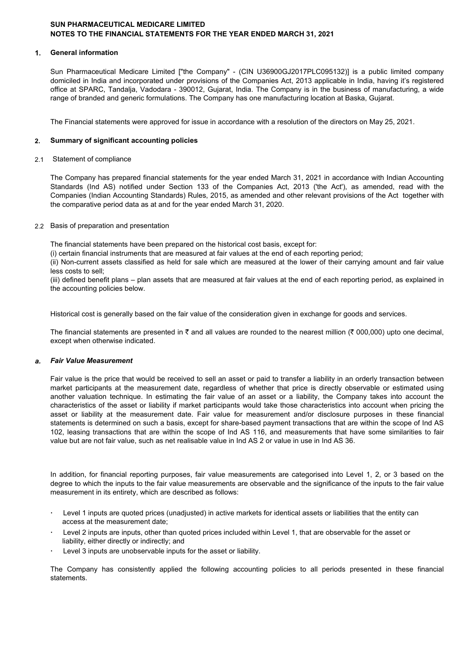#### **1. General information**

Sun Pharmaceutical Medicare Limited ["the Company" - (CIN U36900GJ2017PLC095132)] is a public limited company domiciled in India and incorporated under provisions of the Companies Act, 2013 applicable in India, having it's registered office at SPARC, Tandalja, Vadodara - 390012, Gujarat, India. The Company is in the business of manufacturing, a wide range of branded and generic formulations. The Company has one manufacturing location at Baska, Gujarat.

The Financial statements were approved for issue in accordance with a resolution of the directors on May 25, 2021.

#### **2. Summary of significant accounting policies**

## 2.1 Statement of compliance

The Company has prepared financial statements for the year ended March 31, 2021 in accordance with Indian Accounting Standards (Ind AS) notified under Section 133 of the Companies Act, 2013 ('the Act'), as amended, read with the Companies (Indian Accounting Standards) Rules, 2015, as amended and other relevant provisions of the Act together with the comparative period data as at and for the year ended March 31, 2020.

## 2.2 Basis of preparation and presentation

The financial statements have been prepared on the historical cost basis, except for:

(i) certain financial instruments that are measured at fair values at the end of each reporting period;

(ii) Non-current assets classified as held for sale which are measured at the lower of their carrying amount and fair value less costs to sell;

(iii) defined benefit plans – plan assets that are measured at fair values at the end of each reporting period, as explained in the accounting policies below.

Historical cost is generally based on the fair value of the consideration given in exchange for goods and services.

The financial statements are presented in  $\bar{\tau}$  and all values are rounded to the nearest million ( $\bar{\tau}$  000,000) upto one decimal, except when otherwise indicated.

#### *a. Fair Value Measurement*

Fair value is the price that would be received to sell an asset or paid to transfer a liability in an orderly transaction between market participants at the measurement date, regardless of whether that price is directly observable or estimated using another valuation technique. In estimating the fair value of an asset or a liability, the Company takes into account the characteristics of the asset or liability if market participants would take those characteristics into account when pricing the asset or liability at the measurement date. Fair value for measurement and/or disclosure purposes in these financial statements is determined on such a basis, except for share-based payment transactions that are within the scope of Ind AS 102, leasing transactions that are within the scope of Ind AS 116, and measurements that have some similarities to fair value but are not fair value, such as net realisable value in Ind AS 2 or value in use in Ind AS 36.

In addition, for financial reporting purposes, fair value measurements are categorised into Level 1, 2, or 3 based on the degree to which the inputs to the fair value measurements are observable and the significance of the inputs to the fair value measurement in its entirety, which are described as follows:

- **·** Level 1 inputs are quoted prices (unadjusted) in active markets for identical assets or liabilities that the entity can access at the measurement date;
- **·** Level 2 inputs are inputs, other than quoted prices included within Level 1, that are observable for the asset or liability, either directly or indirectly; and
- Level 3 inputs are unobservable inputs for the asset or liability.

The Company has consistently applied the following accounting policies to all periods presented in these financial statements.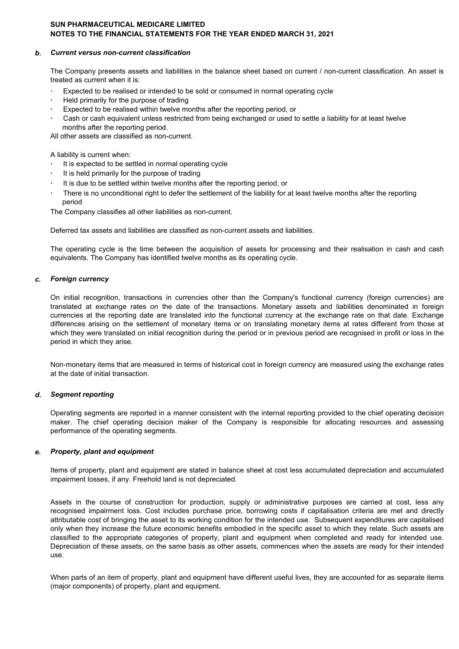#### *b. Current versus non-current classification*

The Company presents assets and liabilities in the balance sheet based on current / non-current classification. An asset is treated as current when it is:

- Expected to be realised or intended to be sold or consumed in normal operating cycle
- **·** Held primarily for the purpose of trading
- **·** Expected to be realised within twelve months after the reporting period, or
- **·** Cash or cash equivalent unless restricted from being exchanged or used to settle a liability for at least twelve months after the reporting period.

All other assets are classified as non-current.

A liability is current when:

- **·** It is expected to be settled in normal operating cycle
- **·** It is held primarily for the purpose of trading
- **·** It is due to be settled within twelve months after the reporting period, or
- **·** There is no unconditional right to defer the settlement of the liability for at least twelve months after the reporting period

The Company classifies all other liabilities as non-current.

Deferred tax assets and liabilities are classified as non-current assets and liabilities.

The operating cycle is the time between the acquisition of assets for processing and their realisation in cash and cash equivalents. The Company has identified twelve months as its operating cycle.

# *c. Foreign currency*

On initial recognition, transactions in currencies other than the Company's functional currency (foreign currencies) are translated at exchange rates on the date of the transactions. Monetary assets and liabilities denominated in foreign currencies at the reporting date are translated into the functional currency at the exchange rate on that date. Exchange differences arising on the settlement of monetary items or on translating monetary items at rates different from those at which they were translated on initial recognition during the period or in previous period are recognised in profit or loss in the period in which they arise.

Non-monetary items that are measured in terms of historical cost in foreign currency are measured using the exchange rates at the date of initial transaction.

#### *d. Segment reporting*

Operating segments are reported in a manner consistent with the internal reporting provided to the chief operating decision maker. The chief operating decision maker of the Company is responsible for allocating resources and assessing performance of the operating segments.

# *e. Property, plant and equipment*

Items of property, plant and equipment are stated in balance sheet at cost less accumulated depreciation and accumulated impairment losses, if any. Freehold land is not depreciated.

Assets in the course of construction for production, supply or administrative purposes are carried at cost, less any recognised impairment loss. Cost includes purchase price, borrowing costs if capitalisation criteria are met and directly attributable cost of bringing the asset to its working condition for the intended use. Subsequent expenditures are capitalised only when they increase the future economic benefits embodied in the specific asset to which they relate. Such assets are classified to the appropriate categories of property, plant and equipment when completed and ready for intended use. Depreciation of these assets, on the same basis as other assets, commences when the assets are ready for their intended use.

When parts of an item of property, plant and equipment have different useful lives, they are accounted for as separate items (major components) of property, plant and equipment.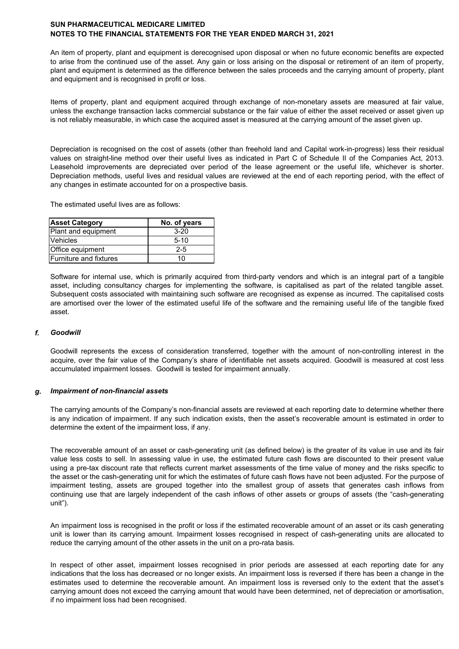An item of property, plant and equipment is derecognised upon disposal or when no future economic benefits are expected to arise from the continued use of the asset. Any gain or loss arising on the disposal or retirement of an item of property, plant and equipment is determined as the difference between the sales proceeds and the carrying amount of property, plant and equipment and is recognised in profit or loss.

Items of property, plant and equipment acquired through exchange of non-monetary assets are measured at fair value, unless the exchange transaction lacks commercial substance or the fair value of either the asset received or asset given up is not reliably measurable, in which case the acquired asset is measured at the carrying amount of the asset given up.

Depreciation is recognised on the cost of assets (other than freehold land and Capital work-in-progress) less their residual values on straight-line method over their useful lives as indicated in Part C of Schedule II of the Companies Act, 2013. Leasehold improvements are depreciated over period of the lease agreement or the useful life, whichever is shorter. Depreciation methods, useful lives and residual values are reviewed at the end of each reporting period, with the effect of any changes in estimate accounted for on a prospective basis.

The estimated useful lives are as follows:

| <b>Asset Category</b>          | No. of years |
|--------------------------------|--------------|
| Plant and equipment            | $3 - 20$     |
| <b>Vehicles</b>                | $5 - 10$     |
| Office equipment               | $2 - 5$      |
| <b>IFurniture and fixtures</b> | 10           |

Software for internal use, which is primarily acquired from third-party vendors and which is an integral part of a tangible asset, including consultancy charges for implementing the software, is capitalised as part of the related tangible asset. Subsequent costs associated with maintaining such software are recognised as expense as incurred. The capitalised costs are amortised over the lower of the estimated useful life of the software and the remaining useful life of the tangible fixed asset.

#### *f. Goodwill*

Goodwill represents the excess of consideration transferred, together with the amount of non-controlling interest in the acquire, over the fair value of the Company's share of identifiable net assets acquired. Goodwill is measured at cost less accumulated impairment losses. Goodwill is tested for impairment annually.

#### *g. Impairment of non-financial assets*

The carrying amounts of the Company's non-financial assets are reviewed at each reporting date to determine whether there is any indication of impairment. If any such indication exists, then the asset's recoverable amount is estimated in order to determine the extent of the impairment loss, if any.

The recoverable amount of an asset or cash-generating unit (as defined below) is the greater of its value in use and its fair value less costs to sell. In assessing value in use, the estimated future cash flows are discounted to their present value using a pre-tax discount rate that reflects current market assessments of the time value of money and the risks specific to the asset or the cash-generating unit for which the estimates of future cash flows have not been adjusted. For the purpose of impairment testing, assets are grouped together into the smallest group of assets that generates cash inflows from continuing use that are largely independent of the cash inflows of other assets or groups of assets (the "cash-generating unit").

An impairment loss is recognised in the profit or loss if the estimated recoverable amount of an asset or its cash generating unit is lower than its carrying amount. Impairment losses recognised in respect of cash-generating units are allocated to reduce the carrying amount of the other assets in the unit on a pro-rata basis.

In respect of other asset, impairment losses recognised in prior periods are assessed at each reporting date for any indications that the loss has decreased or no longer exists. An impairment loss is reversed if there has been a change in the estimates used to determine the recoverable amount. An impairment loss is reversed only to the extent that the asset's carrying amount does not exceed the carrying amount that would have been determined, net of depreciation or amortisation, if no impairment loss had been recognised.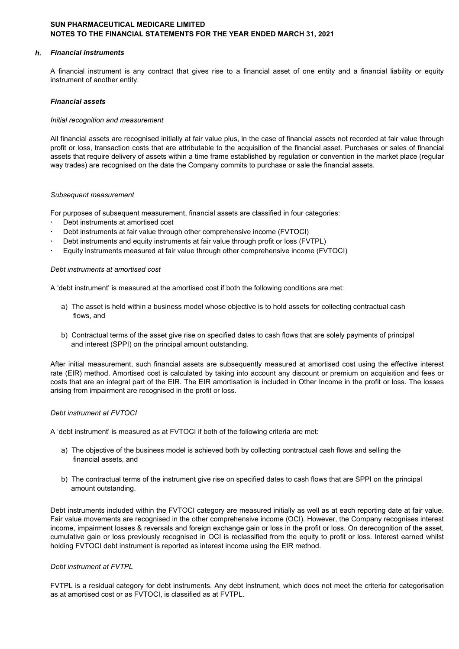## *h. Financial instruments*

A financial instrument is any contract that gives rise to a financial asset of one entity and a financial liability or equity instrument of another entity.

### *Financial assets*

### *Initial recognition and measurement*

All financial assets are recognised initially at fair value plus, in the case of financial assets not recorded at fair value through profit or loss, transaction costs that are attributable to the acquisition of the financial asset. Purchases or sales of financial assets that require delivery of assets within a time frame established by regulation or convention in the market place (regular way trades) are recognised on the date the Company commits to purchase or sale the financial assets.

## *Subsequent measurement*

For purposes of subsequent measurement, financial assets are classified in four categories:

- **·** Debt instruments at amortised cost
- **·** Debt instruments at fair value through other comprehensive income (FVTOCI)
- **·** Debt instruments and equity instruments at fair value through profit or loss (FVTPL)
- **·** Equity instruments measured at fair value through other comprehensive income (FVTOCI)

### *Debt instruments at amortised cost*

A 'debt instrument' is measured at the amortised cost if both the following conditions are met:

- a) The asset is held within a business model whose objective is to hold assets for collecting contractual cash flows, and
- b) Contractual terms of the asset give rise on specified dates to cash flows that are solely payments of principal and interest (SPPI) on the principal amount outstanding.

After initial measurement, such financial assets are subsequently measured at amortised cost using the effective interest rate (EIR) method. Amortised cost is calculated by taking into account any discount or premium on acquisition and fees or costs that are an integral part of the EIR. The EIR amortisation is included in Other Income in the profit or loss. The losses arising from impairment are recognised in the profit or loss.

# *Debt instrument at FVTOCI*

A 'debt instrument' is measured as at FVTOCI if both of the following criteria are met:

- a) The objective of the business model is achieved both by collecting contractual cash flows and selling the financial assets, and
- b) The contractual terms of the instrument give rise on specified dates to cash flows that are SPPI on the principal amount outstanding.

Debt instruments included within the FVTOCI category are measured initially as well as at each reporting date at fair value. Fair value movements are recognised in the other comprehensive income (OCI). However, the Company recognises interest income, impairment losses & reversals and foreign exchange gain or loss in the profit or loss. On derecognition of the asset, cumulative gain or loss previously recognised in OCI is reclassified from the equity to profit or loss. Interest earned whilst holding FVTOCI debt instrument is reported as interest income using the EIR method.

# *Debt instrument at FVTPL*

FVTPL is a residual category for debt instruments. Any debt instrument, which does not meet the criteria for categorisation as at amortised cost or as FVTOCI, is classified as at FVTPL.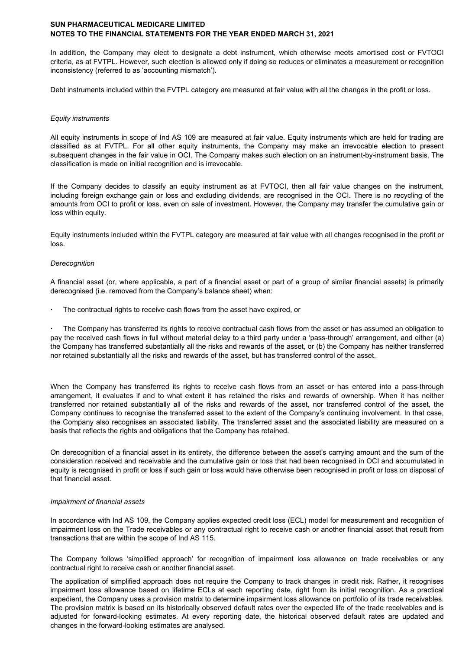In addition, the Company may elect to designate a debt instrument, which otherwise meets amortised cost or FVTOCI criteria, as at FVTPL. However, such election is allowed only if doing so reduces or eliminates a measurement or recognition inconsistency (referred to as 'accounting mismatch').

Debt instruments included within the FVTPL category are measured at fair value with all the changes in the profit or loss.

### *Equity instruments*

All equity instruments in scope of Ind AS 109 are measured at fair value. Equity instruments which are held for trading are classified as at FVTPL. For all other equity instruments, the Company may make an irrevocable election to present subsequent changes in the fair value in OCI. The Company makes such election on an instrument-by-instrument basis. The classification is made on initial recognition and is irrevocable.

If the Company decides to classify an equity instrument as at FVTOCI, then all fair value changes on the instrument, including foreign exchange gain or loss and excluding dividends, are recognised in the OCI. There is no recycling of the amounts from OCI to profit or loss, even on sale of investment. However, the Company may transfer the cumulative gain or loss within equity.

Equity instruments included within the FVTPL category are measured at fair value with all changes recognised in the profit or loss.

### *Derecognition*

A financial asset (or, where applicable, a part of a financial asset or part of a group of similar financial assets) is primarily derecognised (i.e. removed from the Company's balance sheet) when:

**·** The contractual rights to receive cash flows from the asset have expired, or

**·** The Company has transferred its rights to receive contractual cash flows from the asset or has assumed an obligation to pay the received cash flows in full without material delay to a third party under a 'pass-through' arrangement, and either (a) the Company has transferred substantially all the risks and rewards of the asset, or (b) the Company has neither transferred nor retained substantially all the risks and rewards of the asset, but has transferred control of the asset.

When the Company has transferred its rights to receive cash flows from an asset or has entered into a pass-through arrangement, it evaluates if and to what extent it has retained the risks and rewards of ownership. When it has neither transferred nor retained substantially all of the risks and rewards of the asset, nor transferred control of the asset, the Company continues to recognise the transferred asset to the extent of the Company's continuing involvement. In that case, the Company also recognises an associated liability. The transferred asset and the associated liability are measured on a basis that reflects the rights and obligations that the Company has retained.

On derecognition of a financial asset in its entirety, the difference between the asset's carrying amount and the sum of the consideration received and receivable and the cumulative gain or loss that had been recognised in OCI and accumulated in equity is recognised in profit or loss if such gain or loss would have otherwise been recognised in profit or loss on disposal of that financial asset.

### *Impairment of financial assets*

In accordance with Ind AS 109, the Company applies expected credit loss (ECL) model for measurement and recognition of impairment loss on the Trade receivables or any contractual right to receive cash or another financial asset that result from transactions that are within the scope of Ind AS 115.

The Company follows 'simplified approach' for recognition of impairment loss allowance on trade receivables or any contractual right to receive cash or another financial asset.

The application of simplified approach does not require the Company to track changes in credit risk. Rather, it recognises impairment loss allowance based on lifetime ECLs at each reporting date, right from its initial recognition. As a practical expedient, the Company uses a provision matrix to determine impairment loss allowance on portfolio of its trade receivables. The provision matrix is based on its historically observed default rates over the expected life of the trade receivables and is adjusted for forward-looking estimates. At every reporting date, the historical observed default rates are updated and changes in the forward-looking estimates are analysed.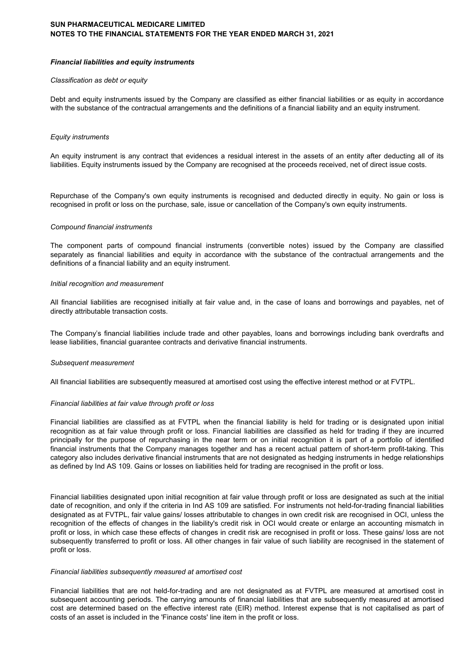## *Financial liabilities and equity instruments*

### *Classification as debt or equity*

Debt and equity instruments issued by the Company are classified as either financial liabilities or as equity in accordance with the substance of the contractual arrangements and the definitions of a financial liability and an equity instrument.

### *Equity instruments*

An equity instrument is any contract that evidences a residual interest in the assets of an entity after deducting all of its liabilities. Equity instruments issued by the Company are recognised at the proceeds received, net of direct issue costs.

Repurchase of the Company's own equity instruments is recognised and deducted directly in equity. No gain or loss is recognised in profit or loss on the purchase, sale, issue or cancellation of the Company's own equity instruments.

### *Compound financial instruments*

The component parts of compound financial instruments (convertible notes) issued by the Company are classified separately as financial liabilities and equity in accordance with the substance of the contractual arrangements and the definitions of a financial liability and an equity instrument.

### *Initial recognition and measurement*

All financial liabilities are recognised initially at fair value and, in the case of loans and borrowings and payables, net of directly attributable transaction costs.

The Company's financial liabilities include trade and other payables, loans and borrowings including bank overdrafts and lease liabilities, financial guarantee contracts and derivative financial instruments.

### *Subsequent measurement*

All financial liabilities are subsequently measured at amortised cost using the effective interest method or at FVTPL.

### *Financial liabilities at fair value through profit or loss*

Financial liabilities are classified as at FVTPL when the financial liability is held for trading or is designated upon initial recognition as at fair value through profit or loss. Financial liabilities are classified as held for trading if they are incurred principally for the purpose of repurchasing in the near term or on initial recognition it is part of a portfolio of identified financial instruments that the Company manages together and has a recent actual pattern of short-term profit-taking. This category also includes derivative financial instruments that are not designated as hedging instruments in hedge relationships as defined by Ind AS 109. Gains or losses on liabilities held for trading are recognised in the profit or loss.

Financial liabilities designated upon initial recognition at fair value through profit or loss are designated as such at the initial date of recognition, and only if the criteria in Ind AS 109 are satisfied. For instruments not held-for-trading financial liabilities designated as at FVTPL, fair value gains/ losses attributable to changes in own credit risk are recognised in OCI, unless the recognition of the effects of changes in the liability's credit risk in OCI would create or enlarge an accounting mismatch in profit or loss, in which case these effects of changes in credit risk are recognised in profit or loss. These gains/ loss are not subsequently transferred to profit or loss. All other changes in fair value of such liability are recognised in the statement of profit or loss.

### *Financial liabilities subsequently measured at amortised cost*

Financial liabilities that are not held-for-trading and are not designated as at FVTPL are measured at amortised cost in subsequent accounting periods. The carrying amounts of financial liabilities that are subsequently measured at amortised cost are determined based on the effective interest rate (EIR) method. Interest expense that is not capitalised as part of costs of an asset is included in the 'Finance costs' line item in the profit or loss.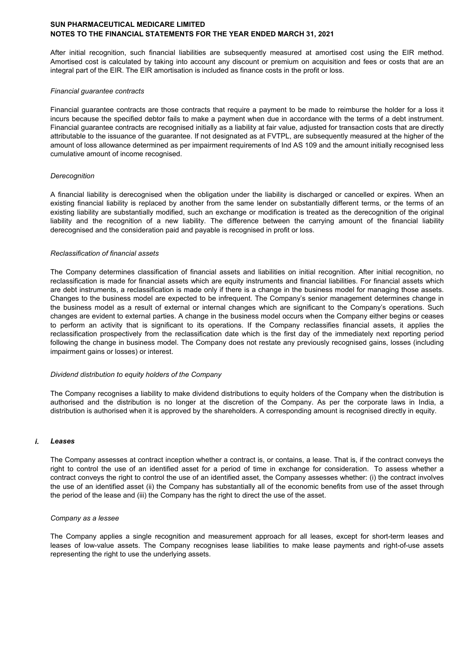After initial recognition, such financial liabilities are subsequently measured at amortised cost using the EIR method. Amortised cost is calculated by taking into account any discount or premium on acquisition and fees or costs that are an integral part of the EIR. The EIR amortisation is included as finance costs in the profit or loss.

## *Financial guarantee contracts*

Financial guarantee contracts are those contracts that require a payment to be made to reimburse the holder for a loss it incurs because the specified debtor fails to make a payment when due in accordance with the terms of a debt instrument. Financial guarantee contracts are recognised initially as a liability at fair value, adjusted for transaction costs that are directly attributable to the issuance of the guarantee. If not designated as at FVTPL, are subsequently measured at the higher of the amount of loss allowance determined as per impairment requirements of Ind AS 109 and the amount initially recognised less cumulative amount of income recognised.

## *Derecognition*

A financial liability is derecognised when the obligation under the liability is discharged or cancelled or expires. When an existing financial liability is replaced by another from the same lender on substantially different terms, or the terms of an existing liability are substantially modified, such an exchange or modification is treated as the derecognition of the original liability and the recognition of a new liability. The difference between the carrying amount of the financial liability derecognised and the consideration paid and payable is recognised in profit or loss.

## *Reclassification of financial assets*

The Company determines classification of financial assets and liabilities on initial recognition. After initial recognition, no reclassification is made for financial assets which are equity instruments and financial liabilities. For financial assets which are debt instruments, a reclassification is made only if there is a change in the business model for managing those assets. Changes to the business model are expected to be infrequent. The Company's senior management determines change in the business model as a result of external or internal changes which are significant to the Company's operations. Such changes are evident to external parties. A change in the business model occurs when the Company either begins or ceases to perform an activity that is significant to its operations. If the Company reclassifies financial assets, it applies the reclassification prospectively from the reclassification date which is the first day of the immediately next reporting period following the change in business model. The Company does not restate any previously recognised gains, losses (including impairment gains or losses) or interest.

### *Dividend distribution to equity holders of the Company*

The Company recognises a liability to make dividend distributions to equity holders of the Company when the distribution is authorised and the distribution is no longer at the discretion of the Company. As per the corporate laws in India, a distribution is authorised when it is approved by the shareholders. A corresponding amount is recognised directly in equity.

#### *i. Leases*

The Company assesses at contract inception whether a contract is, or contains, a lease. That is, if the contract conveys the right to control the use of an identified asset for a period of time in exchange for consideration. To assess whether a contract conveys the right to control the use of an identified asset, the Company assesses whether: (i) the contract involves the use of an identified asset (ii) the Company has substantially all of the economic benefits from use of the asset through the period of the lease and (iii) the Company has the right to direct the use of the asset.

### *Company as a lessee*

The Company applies a single recognition and measurement approach for all leases, except for short-term leases and leases of low-value assets. The Company recognises lease liabilities to make lease payments and right-of-use assets representing the right to use the underlying assets.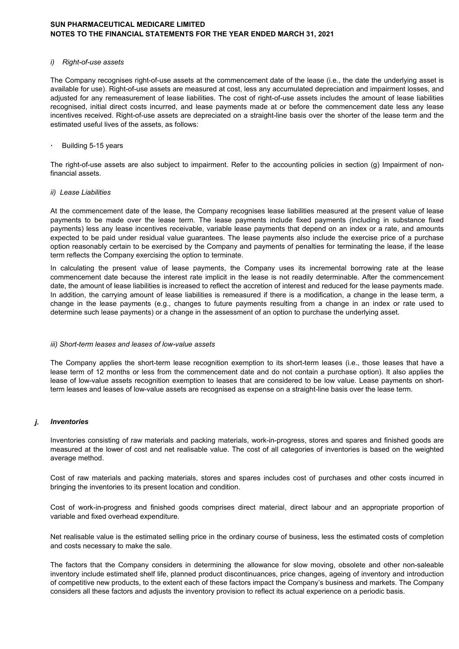### *i) Right-of-use assets*

The Company recognises right-of-use assets at the commencement date of the lease (i.e., the date the underlying asset is available for use). Right-of-use assets are measured at cost, less any accumulated depreciation and impairment losses, and adjusted for any remeasurement of lease liabilities. The cost of right-of-use assets includes the amount of lease liabilities recognised, initial direct costs incurred, and lease payments made at or before the commencement date less any lease incentives received. Right-of-use assets are depreciated on a straight-line basis over the shorter of the lease term and the estimated useful lives of the assets, as follows:

## **·** Building 5-15 years

The right-of-use assets are also subject to impairment. Refer to the accounting policies in section (g) Impairment of nonfinancial assets.

### *ii) Lease Liabilities*

At the commencement date of the lease, the Company recognises lease liabilities measured at the present value of lease payments to be made over the lease term. The lease payments include fixed payments (including in substance fixed payments) less any lease incentives receivable, variable lease payments that depend on an index or a rate, and amounts expected to be paid under residual value guarantees. The lease payments also include the exercise price of a purchase option reasonably certain to be exercised by the Company and payments of penalties for terminating the lease, if the lease term reflects the Company exercising the option to terminate.

In calculating the present value of lease payments, the Company uses its incremental borrowing rate at the lease commencement date because the interest rate implicit in the lease is not readily determinable. After the commencement date, the amount of lease liabilities is increased to reflect the accretion of interest and reduced for the lease payments made. In addition, the carrying amount of lease liabilities is remeasured if there is a modification, a change in the lease term, a change in the lease payments (e.g., changes to future payments resulting from a change in an index or rate used to determine such lease payments) or a change in the assessment of an option to purchase the underlying asset.

### *iii) Short-term leases and leases of low-value assets*

The Company applies the short-term lease recognition exemption to its short-term leases (i.e., those leases that have a lease term of 12 months or less from the commencement date and do not contain a purchase option). It also applies the lease of low-value assets recognition exemption to leases that are considered to be low value. Lease payments on shortterm leases and leases of low-value assets are recognised as expense on a straight-line basis over the lease term.

#### *j. Inventories*

Inventories consisting of raw materials and packing materials, work-in-progress, stores and spares and finished goods are measured at the lower of cost and net realisable value. The cost of all categories of inventories is based on the weighted average method.

Cost of raw materials and packing materials, stores and spares includes cost of purchases and other costs incurred in bringing the inventories to its present location and condition.

Cost of work-in-progress and finished goods comprises direct material, direct labour and an appropriate proportion of variable and fixed overhead expenditure.

Net realisable value is the estimated selling price in the ordinary course of business, less the estimated costs of completion and costs necessary to make the sale.

The factors that the Company considers in determining the allowance for slow moving, obsolete and other non-saleable inventory include estimated shelf life, planned product discontinuances, price changes, ageing of inventory and introduction of competitive new products, to the extent each of these factors impact the Company's business and markets. The Company considers all these factors and adjusts the inventory provision to reflect its actual experience on a periodic basis.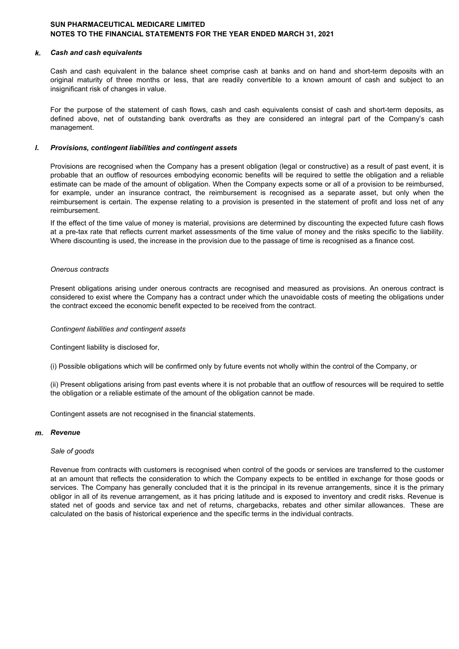#### *k. Cash and cash equivalents*

Cash and cash equivalent in the balance sheet comprise cash at banks and on hand and short-term deposits with an original maturity of three months or less, that are readily convertible to a known amount of cash and subject to an insignificant risk of changes in value.

For the purpose of the statement of cash flows, cash and cash equivalents consist of cash and short-term deposits, as defined above, net of outstanding bank overdrafts as they are considered an integral part of the Company's cash management.

#### *l. Provisions, contingent liabilities and contingent assets*

Provisions are recognised when the Company has a present obligation (legal or constructive) as a result of past event, it is probable that an outflow of resources embodying economic benefits will be required to settle the obligation and a reliable estimate can be made of the amount of obligation. When the Company expects some or all of a provision to be reimbursed, for example, under an insurance contract, the reimbursement is recognised as a separate asset, but only when the reimbursement is certain. The expense relating to a provision is presented in the statement of profit and loss net of any reimbursement.

If the effect of the time value of money is material, provisions are determined by discounting the expected future cash flows at a pre-tax rate that reflects current market assessments of the time value of money and the risks specific to the liability. Where discounting is used, the increase in the provision due to the passage of time is recognised as a finance cost.

### *Onerous contracts*

Present obligations arising under onerous contracts are recognised and measured as provisions. An onerous contract is considered to exist where the Company has a contract under which the unavoidable costs of meeting the obligations under the contract exceed the economic benefit expected to be received from the contract.

# *Contingent liabilities and contingent assets*

Contingent liability is disclosed for,

(i) Possible obligations which will be confirmed only by future events not wholly within the control of the Company, or

(ii) Present obligations arising from past events where it is not probable that an outflow of resources will be required to settle the obligation or a reliable estimate of the amount of the obligation cannot be made.

Contingent assets are not recognised in the financial statements.

### *m. Revenue*

# *Sale of goods*

Revenue from contracts with customers is recognised when control of the goods or services are transferred to the customer at an amount that reflects the consideration to which the Company expects to be entitled in exchange for those goods or services. The Company has generally concluded that it is the principal in its revenue arrangements, since it is the primary obligor in all of its revenue arrangement, as it has pricing latitude and is exposed to inventory and credit risks. Revenue is stated net of goods and service tax and net of returns, chargebacks, rebates and other similar allowances. These are calculated on the basis of historical experience and the specific terms in the individual contracts.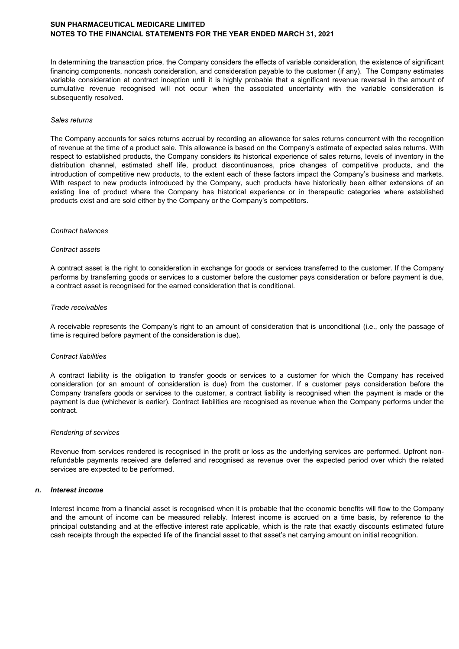In determining the transaction price, the Company considers the effects of variable consideration, the existence of significant financing components, noncash consideration, and consideration payable to the customer (if any). The Company estimates variable consideration at contract inception until it is highly probable that a significant revenue reversal in the amount of cumulative revenue recognised will not occur when the associated uncertainty with the variable consideration is subsequently resolved.

### *Sales returns*

The Company accounts for sales returns accrual by recording an allowance for sales returns concurrent with the recognition of revenue at the time of a product sale. This allowance is based on the Company's estimate of expected sales returns. With respect to established products, the Company considers its historical experience of sales returns, levels of inventory in the distribution channel, estimated shelf life, product discontinuances, price changes of competitive products, and the introduction of competitive new products, to the extent each of these factors impact the Company's business and markets. With respect to new products introduced by the Company, such products have historically been either extensions of an existing line of product where the Company has historical experience or in therapeutic categories where established products exist and are sold either by the Company or the Company's competitors.

### *Contract balances*

### *Contract assets*

A contract asset is the right to consideration in exchange for goods or services transferred to the customer. If the Company performs by transferring goods or services to a customer before the customer pays consideration or before payment is due, a contract asset is recognised for the earned consideration that is conditional.

### *Trade receivables*

A receivable represents the Company's right to an amount of consideration that is unconditional (i.e., only the passage of time is required before payment of the consideration is due).

### *Contract liabilities*

A contract liability is the obligation to transfer goods or services to a customer for which the Company has received consideration (or an amount of consideration is due) from the customer. If a customer pays consideration before the Company transfers goods or services to the customer, a contract liability is recognised when the payment is made or the payment is due (whichever is earlier). Contract liabilities are recognised as revenue when the Company performs under the contract.

### *Rendering of services*

Revenue from services rendered is recognised in the profit or loss as the underlying services are performed. Upfront nonrefundable payments received are deferred and recognised as revenue over the expected period over which the related services are expected to be performed.

#### *n. Interest income*

Interest income from a financial asset is recognised when it is probable that the economic benefits will flow to the Company and the amount of income can be measured reliably. Interest income is accrued on a time basis, by reference to the principal outstanding and at the effective interest rate applicable, which is the rate that exactly discounts estimated future cash receipts through the expected life of the financial asset to that asset's net carrying amount on initial recognition.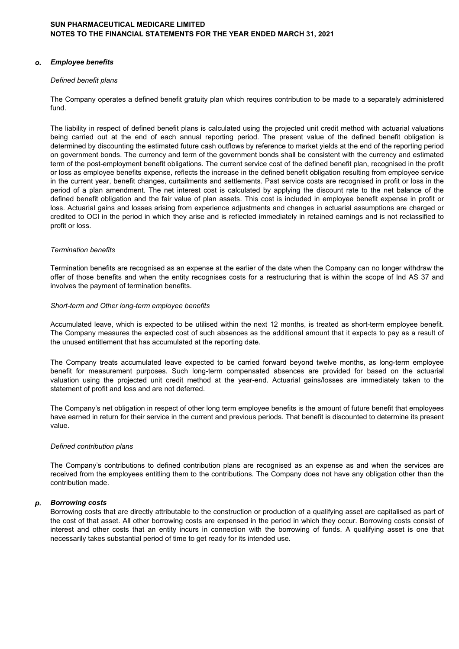#### *o. Employee benefits*

### *Defined benefit plans*

The Company operates a defined benefit gratuity plan which requires contribution to be made to a separately administered fund.

The liability in respect of defined benefit plans is calculated using the projected unit credit method with actuarial valuations being carried out at the end of each annual reporting period. The present value of the defined benefit obligation is determined by discounting the estimated future cash outflows by reference to market yields at the end of the reporting period on government bonds. The currency and term of the government bonds shall be consistent with the currency and estimated term of the post-employment benefit obligations. The current service cost of the defined benefit plan, recognised in the profit or loss as employee benefits expense, reflects the increase in the defined benefit obligation resulting from employee service in the current year, benefit changes, curtailments and settlements. Past service costs are recognised in profit or loss in the period of a plan amendment. The net interest cost is calculated by applying the discount rate to the net balance of the defined benefit obligation and the fair value of plan assets. This cost is included in employee benefit expense in profit or loss. Actuarial gains and losses arising from experience adjustments and changes in actuarial assumptions are charged or credited to OCI in the period in which they arise and is reflected immediately in retained earnings and is not reclassified to profit or loss.

## *Termination benefits*

Termination benefits are recognised as an expense at the earlier of the date when the Company can no longer withdraw the offer of those benefits and when the entity recognises costs for a restructuring that is within the scope of Ind AS 37 and involves the payment of termination benefits.

## *Short-term and Other long-term employee benefits*

Accumulated leave, which is expected to be utilised within the next 12 months, is treated as short-term employee benefit. The Company measures the expected cost of such absences as the additional amount that it expects to pay as a result of the unused entitlement that has accumulated at the reporting date.

The Company treats accumulated leave expected to be carried forward beyond twelve months, as long-term employee benefit for measurement purposes. Such long-term compensated absences are provided for based on the actuarial valuation using the projected unit credit method at the year-end. Actuarial gains/losses are immediately taken to the statement of profit and loss and are not deferred.

The Company's net obligation in respect of other long term employee benefits is the amount of future benefit that employees have earned in return for their service in the current and previous periods. That benefit is discounted to determine its present value.

# *Defined contribution plans*

The Company's contributions to defined contribution plans are recognised as an expense as and when the services are received from the employees entitling them to the contributions. The Company does not have any obligation other than the contribution made.

#### *p. Borrowing costs*

Borrowing costs that are directly attributable to the construction or production of a qualifying asset are capitalised as part of the cost of that asset. All other borrowing costs are expensed in the period in which they occur. Borrowing costs consist of interest and other costs that an entity incurs in connection with the borrowing of funds. A qualifying asset is one that necessarily takes substantial period of time to get ready for its intended use.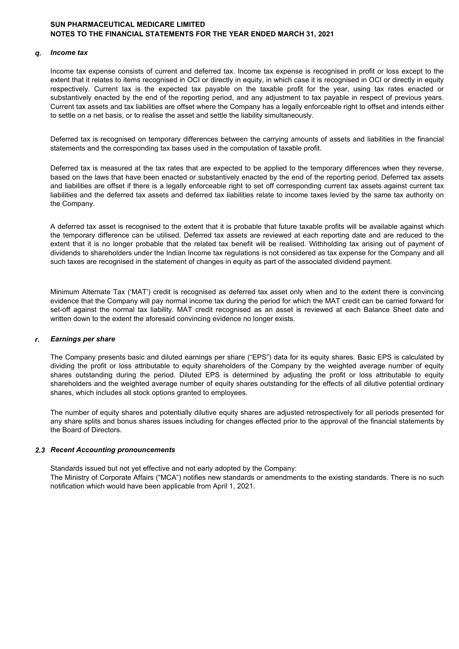#### *q. Income tax*

Income tax expense consists of current and deferred tax. Income tax expense is recognised in profit or loss except to the extent that it relates to items recognised in OCI or directly in equity, in which case it is recognised in OCI or directly in equity respectively. Current tax is the expected tax payable on the taxable profit for the year, using tax rates enacted or substantively enacted by the end of the reporting period, and any adjustment to tax payable in respect of previous years. Current tax assets and tax liabilities are offset where the Company has a legally enforceable right to offset and intends either to settle on a net basis, or to realise the asset and settle the liability simultaneously.

Deferred tax is recognised on temporary differences between the carrying amounts of assets and liabilities in the financial statements and the corresponding tax bases used in the computation of taxable profit.

Deferred tax is measured at the tax rates that are expected to be applied to the temporary differences when they reverse, based on the laws that have been enacted or substantively enacted by the end of the reporting period. Deferred tax assets and liabilities are offset if there is a legally enforceable right to set off corresponding current tax assets against current tax liabilities and the deferred tax assets and deferred tax liabilities relate to income taxes levied by the same tax authority on the Company.

A deferred tax asset is recognised to the extent that it is probable that future taxable profits will be available against which the temporary difference can be utilised. Deferred tax assets are reviewed at each reporting date and are reduced to the extent that it is no longer probable that the related tax benefit will be realised. Withholding tax arising out of payment of dividends to shareholders under the Indian Income tax regulations is not considered as tax expense for the Company and all such taxes are recognised in the statement of changes in equity as part of the associated dividend payment.

Minimum Alternate Tax ('MAT') credit is recognised as deferred tax asset only when and to the extent there is convincing evidence that the Company will pay normal income tax during the period for which the MAT credit can be carried forward for set-off against the normal tax liability. MAT credit recognised as an asset is reviewed at each Balance Sheet date and written down to the extent the aforesaid convincing evidence no longer exists.

#### *r. Earnings per share*

The Company presents basic and diluted earnings per share ("EPS") data for its equity shares. Basic EPS is calculated by dividing the profit or loss attributable to equity shareholders of the Company by the weighted average number of equity shares outstanding during the period. Diluted EPS is determined by adjusting the profit or loss attributable to equity shareholders and the weighted average number of equity shares outstanding for the effects of all dilutive potential ordinary shares, which includes all stock options granted to employees.

The number of equity shares and potentially dilutive equity shares are adjusted retrospectively for all periods presented for any share splits and bonus shares issues including for changes effected prior to the approval of the financial statements by the Board of Directors.

### *2.3 Recent Accounting pronouncements*

Standards issued but not yet effective and not early adopted by the Company:

The Ministry of Corporate Affairs ("MCA") notifies new standards or amendments to the existing standards. There is no such notification which would have been applicable from April 1, 2021.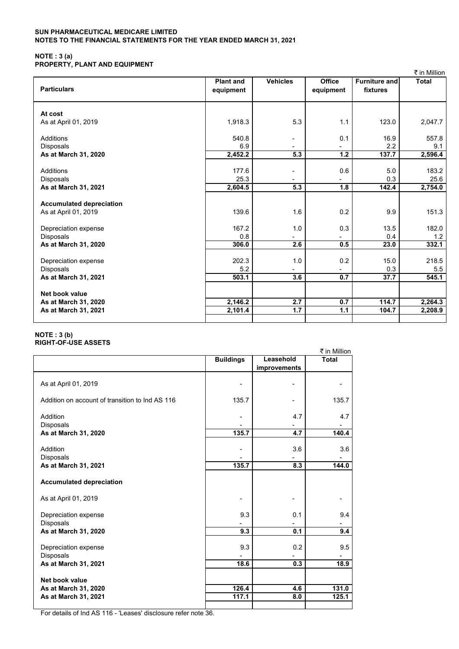**NOTE : 3 (a)**

**PROPERTY, PLANT AND EQUIPMENT**

|                                 |                  |                  |               |                      | ₹ in Million |
|---------------------------------|------------------|------------------|---------------|----------------------|--------------|
|                                 | <b>Plant and</b> | <b>Vehicles</b>  | <b>Office</b> | <b>Furniture and</b> | <b>Total</b> |
| <b>Particulars</b>              | equipment        |                  | equipment     | fixtures             |              |
|                                 |                  |                  |               |                      |              |
| At cost                         |                  |                  |               |                      |              |
| As at April 01, 2019            | 1,918.3          | 5.3              | 1.1           | 123.0                | 2,047.7      |
|                                 |                  |                  |               |                      |              |
| <b>Additions</b>                | 540.8            |                  | 0.1           | 16.9                 | 557.8        |
| <b>Disposals</b>                | 6.9              |                  |               | 2.2                  | 9.1          |
| As at March 31, 2020            | 2,452.2          | 5.3              | 1.2           | 137.7                | 2,596.4      |
|                                 |                  |                  |               |                      |              |
| <b>Additions</b>                | 177.6            |                  | 0.6           | 5.0                  | 183.2        |
| <b>Disposals</b>                | 25.3             |                  |               | 0.3                  | 25.6         |
| As at March 31, 2021            | 2,604.5          | 5.3              | 1.8           | 142.4                | 2,754.0      |
| <b>Accumulated depreciation</b> |                  |                  |               |                      |              |
| As at April 01, 2019            | 139.6            | 1.6              | 0.2           | 9.9                  | 151.3        |
|                                 |                  |                  |               |                      |              |
| Depreciation expense            | 167.2            | 1.0              | 0.3           | 13.5                 | 182.0        |
| Disposals                       | 0.8              |                  |               | 0.4                  | 1.2          |
| As at March 31, 2020            | 306.0            | 2.6              | 0.5           | 23.0                 | 332.1        |
|                                 |                  |                  |               |                      |              |
| Depreciation expense            | 202.3            | 1.0              | 0.2           | 15.0                 | 218.5        |
| <b>Disposals</b>                | 5.2<br>503.1     | 3.6              | 0.7           | 0.3<br>37.7          | 5.5<br>545.1 |
| As at March 31, 2021            |                  |                  |               |                      |              |
| Net book value                  |                  |                  |               |                      |              |
| As at March 31, 2020            | 2,146.2          | $\overline{2.7}$ | 0.7           | 114.7                | 2,264.3      |
| As at March 31, 2021            | 2,101.4          | 1.7              | 1.1           | 104.7                | 2,208.9      |
|                                 |                  |                  |               |                      |              |

### **NOTE : 3 (b) RIGHT-OF-USE ASSETS**

|                                                 |                  |              | ₹ in Million |
|-------------------------------------------------|------------------|--------------|--------------|
|                                                 | <b>Buildings</b> | Leasehold    | <b>Total</b> |
|                                                 |                  | improvements |              |
|                                                 |                  |              |              |
| As at April 01, 2019                            |                  |              |              |
| Addition on account of transition to Ind AS 116 | 135.7            |              | 135.7        |
| Addition<br>Disposals                           |                  | 4.7          | 4.7          |
| As at March 31, 2020                            | 135.7            | 4.7          | 140.4        |
|                                                 |                  |              |              |
| Addition<br>Disposals                           |                  | 3.6          | 3.6          |
| As at March 31, 2021                            | 135.7            | 8.3          | 144.0        |
|                                                 |                  |              |              |
| <b>Accumulated depreciation</b>                 |                  |              |              |
| As at April 01, 2019                            |                  | ۰            |              |
| Depreciation expense<br>Disposals               | 9.3              | 0.1          | 9.4          |
| As at March 31, 2020                            | 9.3              | 0.1          | 9.4          |
|                                                 |                  |              |              |
| Depreciation expense                            | 9.3              | 0.2          | 9.5          |
| <b>Disposals</b>                                |                  |              |              |
| As at March 31, 2021                            | 18.6             | 0.3          | 18.9         |
|                                                 |                  |              |              |
| Net book value                                  |                  |              |              |
| As at March 31, 2020                            | 126.4            | 4.6          | 131.0        |
| As at March 31, 2021                            | 117.1            | 8.0          | 125.1        |
|                                                 |                  |              |              |

For details of Ind AS 116 - 'Leases' disclosure refer note 36.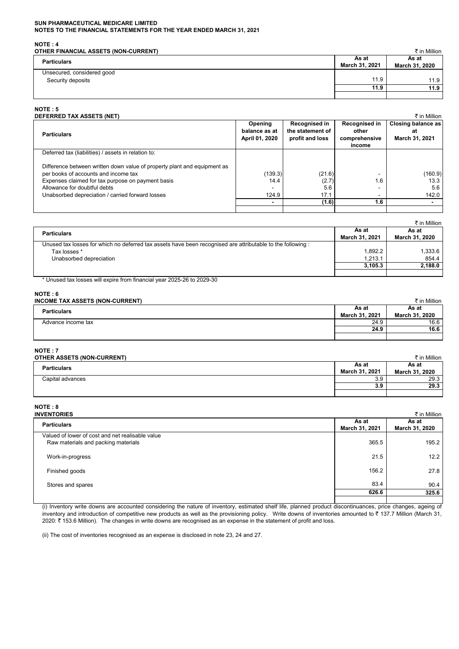**NOTE : 4**

| OTHER FINANCIAL ASSETS (NON-CURRENT) |                         | ₹ in Million            |
|--------------------------------------|-------------------------|-------------------------|
| <b>Particulars</b>                   | As at<br>March 31, 2021 | As at<br>March 31, 2020 |
| Unsecured, considered good           |                         |                         |
| Security deposits                    | 11.9                    | 11.9                    |
|                                      | 11.9                    | 11.9                    |
|                                      |                         |                         |

### **NOTE : 5**

| <b>DEFERRED TAX ASSETS (NET)</b>                                         |                |                  |               | ₹ in Million       |
|--------------------------------------------------------------------------|----------------|------------------|---------------|--------------------|
|                                                                          | Opening        | Recognised in    | Recognised in | Closing balance as |
| <b>Particulars</b>                                                       | balance as at  | the statement of | other         | at                 |
|                                                                          | April 01, 2020 | profit and loss  | comprehensive | March 31, 2021     |
|                                                                          |                |                  | income        |                    |
| Deferred tax (liabilities) / assets in relation to:                      |                |                  |               |                    |
| Difference between written down value of property plant and equipment as |                |                  |               |                    |
| per books of accounts and income tax                                     | (139.3)        | (21.6)           |               | (160.9)            |
| Expenses claimed for tax purpose on payment basis                        | 14.4           | (2.7)            | 1.6           | 13.3               |
| Allowance for doubtful debts                                             |                | 5.6              |               | 5.6                |
| Unabsorbed depreciation / carried forward losses                         | 124.9          | 17.1             |               | 142.0              |
|                                                                          |                | (1.6)            | 1.6           |                    |
|                                                                          |                |                  |               |                    |

|                                                                                                             |                | ₹ in Million   |
|-------------------------------------------------------------------------------------------------------------|----------------|----------------|
| <b>Particulars</b>                                                                                          |                | As at          |
|                                                                                                             | March 31, 2021 | March 31, 2020 |
| Unused tax losses for which no deferred tax assets have been recognised are attributable to the following : |                |                |
| Tax losses *                                                                                                | 1.892.2        | 1,333.6        |
| Unabsorbed depreciation                                                                                     | 1.213.1        | 854.4          |
|                                                                                                             | 3,105.3        | 2,188.0        |
|                                                                                                             |                |                |

\* Unused tax losses will expire from financial year 2025-26 to 2029-30

### **NOTE : 6**

# **INCOME TAX ASSETS (NON-CURRENT) in Million in All 2009 in Million in All 2009 in Million i**n Million

| <b>Particulars</b> |                | As at          |
|--------------------|----------------|----------------|
|                    | March 31, 2021 | March 31, 2020 |
| Advance income tax | 24.9           | 16.6           |
|                    | 24.9           | 16.6           |
|                    |                |                |

### **NOTE : 7**

| <b>OTHER ASSETS (NON-CURRENT)</b> |                       | ₹ in Million   |
|-----------------------------------|-----------------------|----------------|
| <b>Particulars</b>                |                       | As at          |
|                                   | <b>March 31, 2021</b> | March 31, 2020 |
| Capital advances                  | 3.9                   | 29.3           |
|                                   | 3.9                   | 29.3           |
|                                   |                       |                |

# **NOTE : 8**

| INVENTORIES                                                                             |                         | ₹ in Million            |
|-----------------------------------------------------------------------------------------|-------------------------|-------------------------|
| <b>Particulars</b>                                                                      | As at<br>March 31, 2021 | As at<br>March 31, 2020 |
| Valued of lower of cost and net realisable value<br>Raw materials and packing materials | 365.5                   | 195.2                   |
| Work-in-progress                                                                        | 21.5                    | 12.2                    |
| Finished goods                                                                          | 156.2                   | 27.8                    |
| Stores and spares                                                                       | 83.4                    | 90.4                    |
|                                                                                         | 626.6                   | 325.6                   |
|                                                                                         |                         |                         |

(i) Inventory write downs are accounted considering the nature of inventory, estimated shelf life, planned product discontinuances, price changes, ageing of inventory and introduction of competitive new products as well as the provisioning policy. Write downs of inventories amounted to  $\overline{\tau}$  137.7 Million (March 31, 2020: 153.6 Million). The changes in write downs are recognised as an expense in the statement of profit and loss.

(ii) The cost of inventories recognised as an expense is disclosed in note 23, 24 and 27.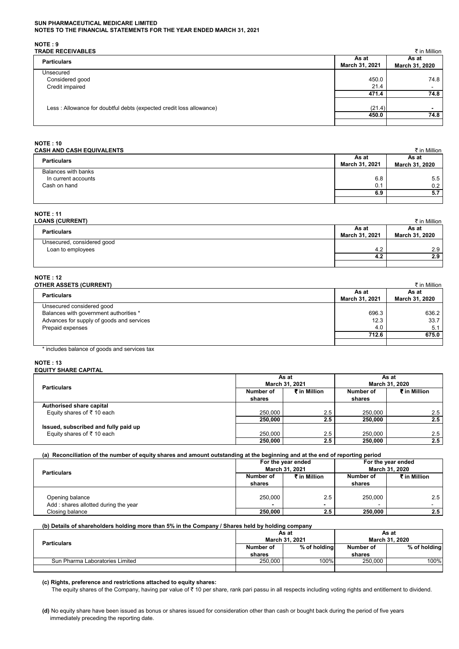**NOTE : 9**

| <b>TRADE RECEIVABLES</b>                                            |                | ₹ in Million   |
|---------------------------------------------------------------------|----------------|----------------|
| <b>Particulars</b>                                                  | As at          | As at          |
|                                                                     | March 31, 2021 | March 31, 2020 |
| Unsecured                                                           |                |                |
| Considered good                                                     | 450.0          | 74.8           |
| Credit impaired                                                     | 21.4           |                |
|                                                                     | 471.4          | 74.8           |
|                                                                     |                |                |
| Less: Allowance for doubtful debts (expected credit loss allowance) | (21.4)         |                |
|                                                                     | 450.0          | 74.8           |
|                                                                     |                |                |

# **NOTE : 10**

| <b>CASH AND CASH EQUIVALENTS</b> |                         | ₹ in Million            |
|----------------------------------|-------------------------|-------------------------|
| <b>Particulars</b>               | As at<br>March 31, 2021 | As at<br>March 31, 2020 |
| Balances with banks              |                         |                         |
| In current accounts              | 6.8                     | 5.5                     |
| Cash on hand                     | 0.1                     | 0.2                     |
|                                  | 6.9                     | 5.7                     |
|                                  |                         |                         |

# **NOTE : 11**

| <b>LOANS (CURRENT)</b>                          |                         | ₹ in Million            |
|-------------------------------------------------|-------------------------|-------------------------|
| <b>Particulars</b>                              | As at<br>March 31, 2021 | As at<br>March 31, 2020 |
| Unsecured, considered good<br>Loan to employees | 4.2                     | 2.9                     |
|                                                 | 4.2                     | 2.9                     |
|                                                 |                         |                         |

# **NOTE : 12**

| <b>OTHER ASSETS (CURRENT)</b>             |                         | ₹ in Million            |
|-------------------------------------------|-------------------------|-------------------------|
| <b>Particulars</b>                        | As at<br>March 31, 2021 | As at<br>March 31, 2020 |
| Unsecured considered good                 |                         |                         |
| Balances with government authorities *    | 696.3                   | 636.2                   |
| Advances for supply of goods and services | 12.3                    | 33.7                    |
| Prepaid expenses                          | 4.0                     | 5.1                     |
|                                           | 712.6                   | 675.0                   |
|                                           |                         |                         |

\* includes balance of goods and services tax

### **NOTE : 13 EQUITY SHARE CAPITAL**

|                                      |                | As at        |                | As at        |
|--------------------------------------|----------------|--------------|----------------|--------------|
| <b>Particulars</b>                   | March 31, 2021 |              | March 31, 2020 |              |
|                                      | Number of      | ₹ in Million | Number of      | ₹ in Million |
|                                      | shares         |              | shares         |              |
| Authorised share capital             |                |              |                |              |
| Equity shares of ₹10 each            | 250.000        | 2.5          | 250,000        | 2.5          |
|                                      | 250.000        | 2.5          | 250.000        | 2.5          |
| Issued, subscribed and fully paid up |                |              |                |              |
| Equity shares of ₹10 each            | 250.000        | 2.5          | 250,000        | 2.5          |
|                                      | 250.000        | 2.5          | 250,000        | 2.5          |

### **(a) Reconciliation of the number of equity shares and amount outstanding at the beginning and at the end of reporting period**

|                                      | For the year ended       |                          | For the year ended |              |
|--------------------------------------|--------------------------|--------------------------|--------------------|--------------|
| <b>Particulars</b>                   | <b>March 31, 2021</b>    |                          | March 31, 2020     |              |
|                                      | Number of                | ₹ in Million             | Number of          | ₹ in Million |
|                                      | shares                   |                          | shares             |              |
|                                      |                          |                          |                    |              |
| Opening balance                      | 250.000                  | 2.5                      | 250.000            | 2.5          |
| Add: shares allotted during the year | $\overline{\phantom{0}}$ | $\overline{\phantom{0}}$ | -                  |              |
| Closing balance                      | 250.000                  | $2.5\,$                  | 250.000            | 2.5          |

### **(b) Details of shareholders holding more than 5% in the Company / Shares held by holding company**

|                                 |           | As at          |           | As at          |
|---------------------------------|-----------|----------------|-----------|----------------|
| <b>Particulars</b>              |           | March 31, 2021 |           | March 31, 2020 |
|                                 | Number of | % of holding   | Number of | % of holding   |
|                                 | shares    |                | shares    |                |
| Sun Pharma Laboratories Limited | 250.000   | 100%           | 250.000   | 100%           |
|                                 |           |                |           |                |

### **(c) Rights, preference and restrictions attached to equity shares:**

The equity shares of the Company, having par value of  $\bar{\tau}$  10 per share, rank pari passu in all respects including voting rights and entitlement to dividend.

**(d)** No equity share have been issued as bonus or shares issued for consideration other than cash or bought back during the period of five years immediately preceding the reporting date.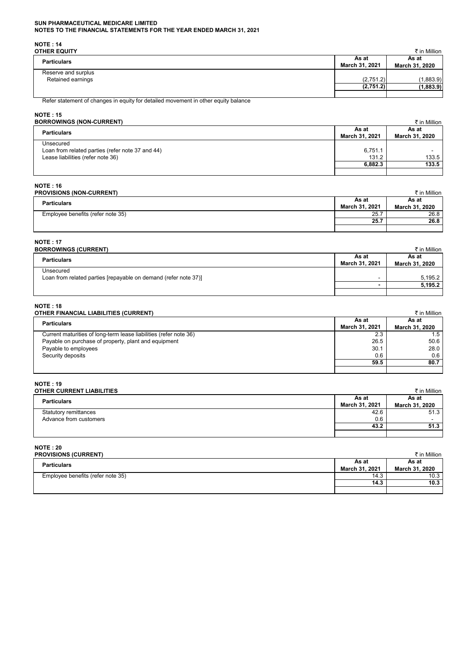**NOTE : 14**

| <b>OTHER EQUITY</b> |                         | ₹ in Million            |
|---------------------|-------------------------|-------------------------|
| <b>Particulars</b>  | As at<br>March 31, 2021 | As at<br>March 31, 2020 |
| Reserve and surplus |                         |                         |
| Retained earnings   | (2,751.2)               | (1,883.9)               |
|                     | (2,751.2)               | (1,883.9)               |
|                     |                         |                         |

Refer statement of changes in equity for detailed movement in other equity balance

## **NOTE : 15**

| <b>BORROWINGS (NON-CURRENT)</b>                  |                         | ₹ in Million            |
|--------------------------------------------------|-------------------------|-------------------------|
| <b>Particulars</b>                               | As at<br>March 31, 2021 | As at<br>March 31, 2020 |
| Unsecured                                        |                         |                         |
| Loan from related parties (refer note 37 and 44) | 6,751.1                 |                         |
| Lease liabilities (refer note 36)                | 131.2                   | 133.5                   |
|                                                  | 6.882.3                 | 133.5                   |
|                                                  |                         |                         |

# **NOTE : 16**

| <b>PROVISIONS (NON-CURRENT)</b>   |                | ₹ in Million   |
|-----------------------------------|----------------|----------------|
| <b>Particulars</b>                | As at          | As at          |
|                                   | March 31, 2021 | March 31, 2020 |
| Employee benefits (refer note 35) | 25.7           | 26.8           |
|                                   | 25.7           | 26.8           |
|                                   |                |                |

# **NOTE : 17**

| <b>BORROWINGS (CURRENT)</b>                                                  |                         | ₹ in Million            |
|------------------------------------------------------------------------------|-------------------------|-------------------------|
| <b>Particulars</b>                                                           | As at<br>March 31, 2021 | As at<br>March 31, 2020 |
| Unsecured<br>Loan from related parties [repayable on demand (refer note 37)] |                         | 5,195.2                 |
|                                                                              |                         | 5,195.2                 |
|                                                                              |                         |                         |

## **NOTE : 18**

| OTHER FINANCIAL LIABILITIES (CURRENT)                             |                         | ₹ in Million            |
|-------------------------------------------------------------------|-------------------------|-------------------------|
| <b>Particulars</b>                                                | As at<br>March 31, 2021 | As at<br>March 31, 2020 |
| Current maturities of long-term lease liabilities (refer note 36) | 2.3                     | 1.5 .                   |
| Payable on purchase of property, plant and equipment              | 26.5                    | 50.6                    |
| Payable to employees                                              | 30.1                    | 28.0                    |
| Security deposits                                                 | 0.6                     | 0.6                     |
|                                                                   | 59.5                    | 80.7                    |
|                                                                   |                         |                         |

# **NOTE : 19**

| <b>OTHER CURRENT LIABILITIES</b> |                | ₹ in Million   |
|----------------------------------|----------------|----------------|
| <b>Particulars</b>               | As at          | As at          |
|                                  | March 31, 2021 | March 31, 2020 |
| Statutory remittances            | 42.6           | 51.3           |
| Advance from customers           | 0.6            |                |
|                                  | 43.2           | 51.3           |
|                                  |                |                |

### **NOTE : 20**

| <b>PROVISIONS (CURRENT)</b>       |                | ₹ in Million   |
|-----------------------------------|----------------|----------------|
| <b>Particulars</b>                | As at          | As at          |
|                                   | March 31, 2021 | March 31, 2020 |
| Employee benefits (refer note 35) | 14.3           | 10.3           |
|                                   | 14.3           | 10.3           |
|                                   |                |                |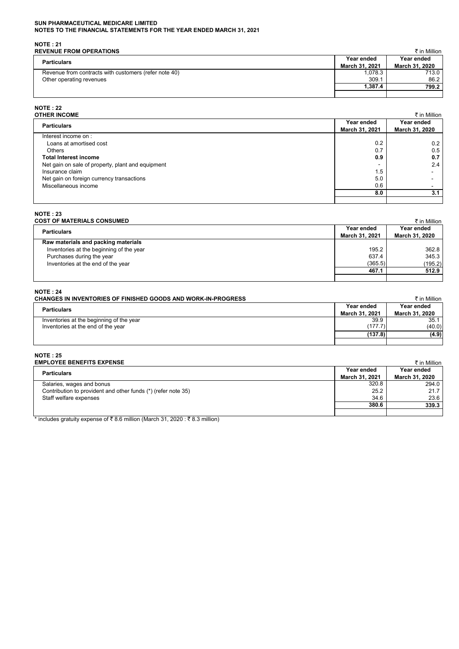**NOTE : 21**

| <b>REVENUE FROM OPERATIONS</b>                        |                       | ₹ in Million      |
|-------------------------------------------------------|-----------------------|-------------------|
| <b>Particulars</b>                                    | Year ended            | <b>Year ended</b> |
|                                                       | <b>March 31, 2021</b> | March 31, 2020    |
| Revenue from contracts with customers (refer note 40) | 1,078.3               | 713.0             |
| Other operating revenues                              | 309.1                 | 86.2              |
|                                                       | 1.387.4               | 799.2             |
|                                                       |                       |                   |

# **NOTE : 22**

| <b>OTHER INCOME</b>                               |                          | ₹ in Million   |
|---------------------------------------------------|--------------------------|----------------|
| <b>Particulars</b>                                |                          | Year ended     |
|                                                   | March 31, 2021           | March 31, 2020 |
| Interest income on :                              |                          |                |
| Loans at amortised cost                           | 0.2                      | 0.2            |
| <b>Others</b>                                     | 0.7                      | 0.5            |
| <b>Total Interest income</b>                      | 0.9                      | 0.7            |
| Net gain on sale of property, plant and equipment | $\overline{\phantom{0}}$ | 2.4            |
| Insurance claim                                   | 1.5                      |                |
| Net gain on foreign currency transactions         | 5.0                      |                |
| Miscellaneous income                              | 0.6                      |                |
|                                                   | 8.0                      | 3.1            |
|                                                   |                          |                |

## **NOTE : 23**

| <b>COST OF MATERIALS CONSUMED</b>        |                              | ₹ in Million                 |
|------------------------------------------|------------------------------|------------------------------|
| <b>Particulars</b>                       | Year ended<br>March 31, 2021 | Year ended<br>March 31, 2020 |
| Raw materials and packing materials      |                              |                              |
| Inventories at the beginning of the year | 195.2                        | 362.8                        |
| Purchases during the year                | 637.4                        | 345.3                        |
| Inventories at the end of the year       | (365.5)                      | (195.2)                      |
|                                          | 467.1                        | 512.9                        |
|                                          |                              |                              |

# **NOTE : 24**

| <b>CHANGES IN INVENTORIES OF FINISHED GOODS AND WORK-IN-PROGRESS</b> |                | ₹ in Million   |
|----------------------------------------------------------------------|----------------|----------------|
| <b>Particulars</b>                                                   |                | Year ended     |
|                                                                      | March 31, 2021 | March 31, 2020 |
| Inventories at the beginning of the year                             | 39.9           | 35.1           |
| Inventories at the end of the year                                   | (177.7)        | (40.0)         |
|                                                                      | (137.8)        | (4.9)          |
|                                                                      |                |                |

# **NOTE : 25**

| <b>EMPLOYEE BENEFITS EXPENSE</b>                              |                | ₹ in Million   |
|---------------------------------------------------------------|----------------|----------------|
| <b>Particulars</b>                                            | Year ended     | Year ended     |
|                                                               | March 31, 2021 | March 31, 2020 |
| Salaries, wages and bonus                                     | 320.8          | 294.0          |
| Contribution to provident and other funds (*) (refer note 35) | 25.2           | 21.7           |
| Staff welfare expenses                                        | 34.6           | 23.6           |
|                                                               | 380.6          | 339.3          |
|                                                               |                |                |

\* includes gratuity expense of 8.6 million (March 31, 2020 : 8.3 million)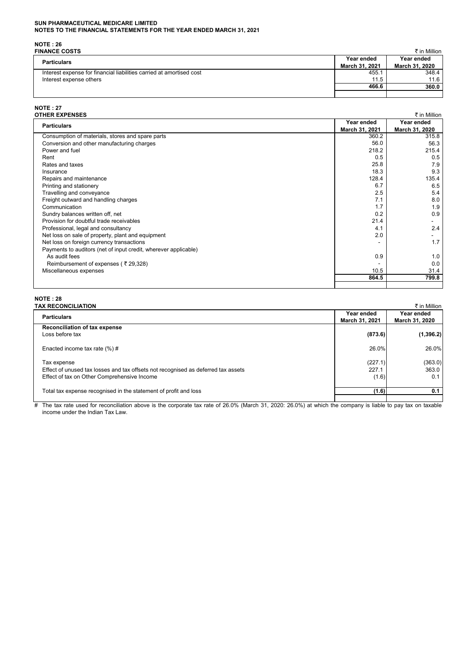**NOTE : 26**

| <b>FINANCE COSTS</b>                                                 |                       | ₹ in Million   |
|----------------------------------------------------------------------|-----------------------|----------------|
| <b>Particulars</b>                                                   |                       | Year ended     |
|                                                                      | <b>March 31, 2021</b> | March 31, 2020 |
| Interest expense for financial liabilities carried at amortised cost | 455.1                 | 348.4          |
| Interest expense others                                              | 11.5                  | 11.6           |
|                                                                      | 466.6                 | 360.0          |
|                                                                      |                       |                |

# **NOTE : 27**

| <b>OTHER EXPENSES</b>                                           |                | ₹ in Million   |
|-----------------------------------------------------------------|----------------|----------------|
| <b>Particulars</b>                                              | Year ended     | Year ended     |
|                                                                 | March 31, 2021 | March 31, 2020 |
| Consumption of materials, stores and spare parts                | 360.2          | 315.8          |
| Conversion and other manufacturing charges                      | 56.0           | 56.3           |
| Power and fuel                                                  | 218.2          | 215.4          |
| Rent                                                            | 0.5            | 0.5            |
| Rates and taxes                                                 | 25.8           | 7.9            |
| Insurance                                                       | 18.3           | 9.3            |
| Repairs and maintenance                                         | 128.4          | 135.4          |
| Printing and stationery                                         | 6.7            | 6.5            |
| Travelling and conveyance                                       | 2.5            | 5.4            |
| Freight outward and handling charges                            | 7.1            | 8.0            |
| Communication                                                   | 1.7            | 1.9            |
| Sundry balances written off, net                                | 0.2            | 0.9            |
| Provision for doubtful trade receivables                        | 21.4           |                |
| Professional, legal and consultancy                             | 4.1            | 2.4            |
| Net loss on sale of property, plant and equipment               | 2.0            |                |
| Net loss on foreign currency transactions                       |                | 1.7            |
| Payments to auditors (net of input credit, wherever applicable) |                |                |
| As audit fees                                                   | 0.9            | 1.0            |
| Reimbursement of expenses ( $\bar{\tau}$ 29,328)                |                | 0.0            |
| Miscellaneous expenses                                          | 10.5           | 31.4           |
|                                                                 | 864.5          | 799.8          |
|                                                                 |                |                |

# **NOTE : 28**

| <b>TAX RECONCILIATION</b>                                                         |                | ₹ in Million   |
|-----------------------------------------------------------------------------------|----------------|----------------|
| <b>Particulars</b>                                                                | Year ended     | Year ended     |
|                                                                                   | March 31, 2021 | March 31, 2020 |
| <b>Reconciliation of tax expense</b>                                              |                |                |
| Loss before tax                                                                   | (873.6)        | (1, 396.2)     |
| Enacted income tax rate $(\%)$ #                                                  | 26.0%          | 26.0%          |
| Tax expense                                                                       | (227.1)        | (363.0)        |
| Effect of unused tax losses and tax offsets not recognised as deferred tax assets | 227.1          | 363.0          |
| Effect of tax on Other Comprehensive Income                                       | (1.6)          | 0.1            |
| Total tax expense recognised in the statement of profit and loss                  | (1.6)          | 0.1            |
|                                                                                   |                |                |

# The tax rate used for reconciliation above is the corporate tax rate of 26.0% (March 31, 2020: 26.0%) at which the company is liable to pay tax on taxable income under the Indian Tax Law.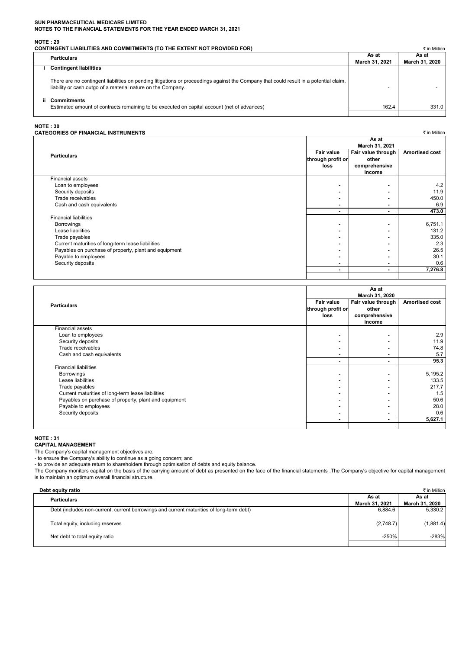### **NOTE : 29**

|                    | <b>CONTINGENT LIABILITIES AND COMMITMENTS (TO THE EXTENT NOT PROVIDED FOR)</b>                                                                                                                        |       | ₹ in Million   |
|--------------------|-------------------------------------------------------------------------------------------------------------------------------------------------------------------------------------------------------|-------|----------------|
| <b>Particulars</b> |                                                                                                                                                                                                       | As at | As at          |
|                    |                                                                                                                                                                                                       |       | March 31, 2020 |
|                    | <b>Contingent liabilities</b>                                                                                                                                                                         |       |                |
|                    | There are no contingent liabilities on pending litigations or proceedings against the Company that could result in a potential claim,<br>liability or cash outgo of a material nature on the Company. |       |                |
|                    | Commitments<br>Estimated amount of contracts remaining to be executed on capital account (net of advances)                                                                                            | 162.4 | 331.0          |
|                    |                                                                                                                                                                                                       |       |                |

**NOTE : 30**

| <b>CATEGORIES OF FINANCIAL INSTRUMENTS</b>            |                   |                          | ₹ in Million          |
|-------------------------------------------------------|-------------------|--------------------------|-----------------------|
|                                                       |                   | As at                    |                       |
|                                                       |                   | March 31, 2021           |                       |
| <b>Particulars</b>                                    | <b>Fair value</b> | Fair value through       | <b>Amortised cost</b> |
|                                                       | through profit or | other                    |                       |
|                                                       | loss              | comprehensive            |                       |
|                                                       |                   | income                   |                       |
| <b>Financial assets</b>                               |                   |                          |                       |
| Loan to employees                                     |                   | $\overline{\phantom{a}}$ | 4.2                   |
| Security deposits                                     |                   | $\overline{\phantom{a}}$ | 11.9                  |
| Trade receivables                                     |                   | $\overline{\phantom{a}}$ | 450.0                 |
| Cash and cash equivalents                             |                   | $\overline{\phantom{a}}$ | 6.9                   |
|                                                       | $\blacksquare$    | $\blacksquare$           | 473.0                 |
| <b>Financial liabilities</b>                          |                   |                          |                       |
| <b>Borrowings</b>                                     |                   | $\overline{\phantom{a}}$ | 6,751.1               |
| Lease liabilities                                     |                   | $\overline{\phantom{a}}$ | 131.2                 |
| Trade payables                                        |                   | $\overline{\phantom{a}}$ | 335.0                 |
| Current maturities of long-term lease liabilities     |                   | $\overline{\phantom{a}}$ | 2.3                   |
| Payables on purchase of property, plant and equipment |                   | $\overline{\phantom{a}}$ | 26.5                  |
| Payable to employees                                  |                   | $\overline{\phantom{a}}$ | 30.1                  |
| Security deposits                                     |                   | $\overline{\phantom{a}}$ | 0.6                   |
|                                                       | $\blacksquare$    | $\blacksquare$           | 7,276.8               |
|                                                       |                   |                          |                       |

|                                                       |                          | As at<br>March 31, 2020  |                       |
|-------------------------------------------------------|--------------------------|--------------------------|-----------------------|
| <b>Particulars</b>                                    | <b>Fair value</b>        | Fair value through       | <b>Amortised cost</b> |
|                                                       | through profit or        | other                    |                       |
|                                                       | loss                     | comprehensive            |                       |
|                                                       |                          | income                   |                       |
| <b>Financial assets</b>                               |                          |                          |                       |
| Loan to employees                                     | ٠                        | $\overline{\phantom{a}}$ | 2.9                   |
| Security deposits                                     |                          |                          | 11.9                  |
| Trade receivables                                     |                          | $\overline{\phantom{a}}$ | 74.8                  |
| Cash and cash equivalents                             |                          |                          | 5.7                   |
|                                                       | $\overline{\phantom{a}}$ |                          | 95.3                  |
| <b>Financial liabilities</b>                          |                          |                          |                       |
| Borrowings                                            | $\overline{\phantom{a}}$ | $\overline{\phantom{a}}$ | 5,195.2               |
| Lease liabilities                                     |                          |                          | 133.5                 |
| Trade payables                                        |                          |                          | 217.7                 |
| Current maturities of long-term lease liabilities     | -                        |                          | 1.5                   |
| Payables on purchase of property, plant and equipment |                          | $\overline{\phantom{a}}$ | 50.6                  |
| Payable to employees                                  |                          |                          | 28.0                  |
| Security deposits                                     |                          | $\overline{\phantom{a}}$ | 0.6                   |
|                                                       | $\overline{\phantom{a}}$ | ۰                        | 5,627.1               |
|                                                       |                          |                          |                       |

### **NOTE : 31**

**CAPITAL MANAGEMENT**

The Company's capital management objectives are:

- to ensure the Company's ability to continue as a going concern; and

- to provide an adequate return to shareholders through optimisation of debts and equity balance.

The Company monitors capital on the basis of the carrying amount of debt as presented on the face of the financial statements .The Company's objective for capital management is to maintain an optimum overall financial structure.

| Debt equity ratio                                                                        |                         | ₹ in Million            |
|------------------------------------------------------------------------------------------|-------------------------|-------------------------|
| <b>Particulars</b>                                                                       | As at<br>March 31, 2021 | As at<br>March 31, 2020 |
| Debt (includes non-current, current borrowings and current maturities of long-term debt) | 6,884.6                 | 5,330.2                 |
| Total equity, including reserves                                                         | (2,748.7)               | (1,881.4)               |
| Net debt to total equity ratio                                                           | $-250%$                 | $-283%$                 |
|                                                                                          |                         |                         |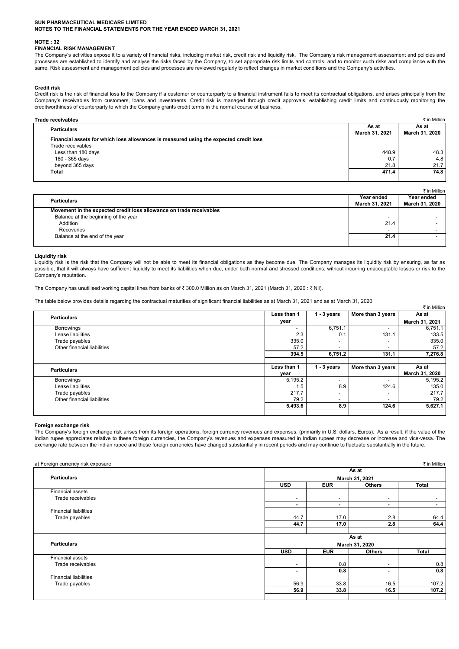### **NOTE : 32**

### **FINANCIAL RISK MANAGEMENT**

The Company's activities expose it to a variety of financial risks, including market risk, credit risk and liquidity risk. The Company's risk management assessment and policies and processes are established to identify and analyse the risks faced by the Company, to set appropriate risk limits and controls, and to monitor such risks and compliance with the same. Risk assessment and management policies and processes are reviewed regularly to reflect changes in market conditions and the Company's activities.

### **Credit risk**

Credit risk is the risk of financial loss to the Company if a customer or counterparty to a financial instrument fails to meet its contractual obligations, and arises principally from the Company's receivables from customers, loans and investments. Credit risk is managed through credit approvals, establishing credit limits and continuously monitoring the creditworthiness of counterparty to which the Company grants credit terms in the normal course of business.

| <b>Trade receivables</b>                                                              |                | ₹ in Million   |
|---------------------------------------------------------------------------------------|----------------|----------------|
| <b>Particulars</b>                                                                    |                | As at          |
|                                                                                       | March 31, 2021 | March 31, 2020 |
| Financial assets for which loss allowances is measured using the expected credit loss |                |                |
| Trade receivables                                                                     |                |                |
| Less than 180 days                                                                    | 448.9          | 48.3           |
| 180 - 365 days                                                                        | 0.7            | 4.8            |
| beyond 365 days                                                                       | 21.8           | 21.7           |
| Total                                                                                 | 471.4          | 74.8           |
|                                                                                       |                |                |

|                                                                     |                              | ₹ in Million                 |
|---------------------------------------------------------------------|------------------------------|------------------------------|
| <b>Particulars</b>                                                  | Year ended<br>March 31, 2021 | Year ended<br>March 31, 2020 |
| Movement in the expected credit loss allowance on trade receivables |                              |                              |
| Balance at the beginning of the year                                | ۰                            |                              |
| Addition                                                            | 21.4                         |                              |
| Recoveries                                                          | $\sim$                       |                              |
| Balance at the end of the year                                      | 21.4                         |                              |
|                                                                     |                              |                              |

### **Liquidity risk**

Liquidity risk is the risk that the Company will not be able to meet its financial obligations as they become due. The Company manages its liquidity risk by ensuring, as far as possible, that it will always have sufficient liquidity to meet its liabilities when due, under both normal and stressed conditions, without incurring unacceptable losses or risk to the Company's reputation.

in Million

The Company has unutilised working capital lines from banks of ₹300.0 Million as on March 31, 2021 (March 31, 2020 : ₹ Nil).

The table below provides details regarding the contractual maturities of significant financial liabilities as at March 31, 2021 and as at March 31, 2020

| <b>Particulars</b>          | Less than 1 | $1 - 3$ years            | More than 3 years        | As at          |
|-----------------------------|-------------|--------------------------|--------------------------|----------------|
|                             | year        |                          |                          | March 31, 2021 |
| Borrowings                  |             | 6,751.1                  | $\overline{\phantom{a}}$ | 6,751.1        |
| Lease liabilities           | 2.3         | 0.1                      | 131.1                    | 133.5          |
| Trade payables              | 335.0       | $\overline{\phantom{a}}$ | -                        | 335.0          |
| Other financial liabilities | 57.2        | $\overline{\phantom{a}}$ | $\overline{\phantom{a}}$ | 57.2           |
|                             | 394.5       | 6,751.2                  | 131.1                    | 7,276.8        |
|                             |             |                          |                          |                |
| <b>Particulars</b>          | Less than 1 | $1 - 3$ years            | More than 3 years        | As at          |
|                             | year        |                          |                          | March 31, 2020 |
| <b>Borrowings</b>           | 5,195.2     | $\overline{\phantom{a}}$ | $\overline{\phantom{a}}$ | 5,195.2        |
| Lease liabilities           | 1.5         | 8.9                      | 124.6                    | 135.0          |
| Trade payables              | 217.7       | $\overline{\phantom{a}}$ | -                        | 217.7          |
| Other financial liabilities | 79.2        | $\overline{\phantom{a}}$ | $\overline{\phantom{a}}$ | 79.2           |
|                             | 5,493.6     | 8.9                      | 124.6                    | 5,627.1        |
|                             |             |                          |                          |                |

### **Foreign exchange risk**

The Company's foreign exchange risk arises from its foreign operations, foreign currency revenues and expenses, (primarily in U.S. dollars, Euros). As a result, if the value of the Indian rupee appreciates relative to these foreign currencies, the Company's revenues and expenses measured in Indian rupees may decrease or increase and vice-versa. The exchange rate between the Indian rupee and these foreign currencies have changed substantially in recent periods and may continue to fluctuate substantially in the future.

| a) Foreign currency risk exposure |                          |                          |                          | ₹ in Million |
|-----------------------------------|--------------------------|--------------------------|--------------------------|--------------|
|                                   |                          |                          | As at                    |              |
| <b>Particulars</b>                |                          |                          | March 31, 2021           |              |
|                                   | <b>USD</b>               | <b>EUR</b>               | <b>Others</b>            | Total        |
| Financial assets                  |                          |                          |                          |              |
| Trade receivables                 | $\overline{\phantom{a}}$ | $\overline{\phantom{a}}$ | $\overline{\phantom{a}}$ |              |
|                                   |                          | ۰                        | ۰                        | $\sim$       |
| <b>Financial liabilities</b>      |                          |                          |                          |              |
| Trade payables                    | 44.7                     | 17.0                     | 2.8                      | 64.4         |
|                                   | 44.7                     | 17.0                     | 2.8                      | 64.4         |
|                                   |                          |                          |                          |              |
|                                   |                          |                          | As at                    |              |
| <b>Particulars</b>                |                          |                          | March 31, 2020           |              |
|                                   | <b>USD</b>               | <b>EUR</b>               | <b>Others</b>            | Total        |
| Financial assets                  |                          |                          |                          |              |
| Trade receivables                 | $\overline{\phantom{a}}$ | 0.8                      | $\overline{\phantom{a}}$ | 0.8          |
|                                   | ۰.                       | 0.8                      | ٠                        | 0.8          |
| <b>Financial liabilities</b>      |                          |                          |                          |              |
| Trade payables                    | 56.9                     | 33.8                     | 16.5                     | 107.2        |
|                                   | 56.9                     | 33.8                     | 16.5                     | 107.2        |
|                                   |                          |                          |                          |              |
|                                   |                          |                          |                          |              |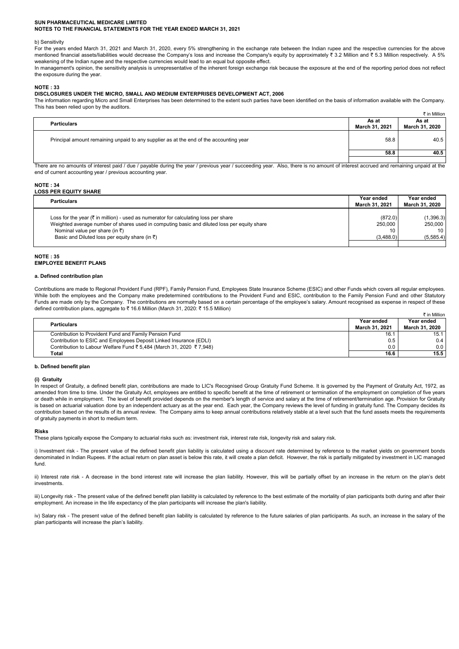### b) Sensitivity

For the years ended March 31, 2021 and March 31, 2020, every 5% strengthening in the exchange rate between the Indian rupee and the respective currencies for the above mentioned financial assets/liabilities would decrease the Company's loss and increase the Company's equity by approximately ₹ 3.2 Million and ₹ 5.3 Million respectively. A 5% weakening of the Indian rupee and the respective currencies would lead to an equal but opposite effect.

In management's opinion, the sensitivity analysis is unrepresentative of the inherent foreign exchange risk because the exposure at the end of the reporting period does not reflect the exposure during the year.

### **NOTE : 33**

### **DISCLOSURES UNDER THE MICRO, SMALL AND MEDIUM ENTERPRISES DEVELOPMENT ACT, 2006**

The information regarding Micro and Small Enterprises has been determined to the extent such parties have been identified on the basis of information available with the Company. This has been relied upon by the auditors.

|                                                                                        |                         | ₹ in Million            |
|----------------------------------------------------------------------------------------|-------------------------|-------------------------|
| <b>Particulars</b>                                                                     | As at<br>March 31, 2021 | As at<br>March 31, 2020 |
| Principal amount remaining unpaid to any supplier as at the end of the accounting year | 58.8                    | 40.5                    |
|                                                                                        | 58.8                    | 40.5                    |
|                                                                                        |                         |                         |

There are no amounts of interest paid / due / payable during the year / previous year / succeeding year. Also, there is no amount of interest accrued and remaining unpaid at the end of current accounting year / previous accounting year.

### **NOTE : 34**

### **LOSS PER EQUITY SHARE**

| <b>Particulars</b>                                                                              | Year ended<br>March 31, 2021 | Year ended<br>March 31, 2020 |
|-------------------------------------------------------------------------------------------------|------------------------------|------------------------------|
| Loss for the year ( $\bar{\tau}$ in million) - used as numerator for calculating loss per share | (872.0)                      | (1,396.3)                    |
| Weighted average number of shares used in computing basic and diluted loss per equity share     | 250.000                      | 250,000                      |
| Nominal value per share (in $\bar{z}$ )                                                         | 10                           | 10                           |
| Basic and Diluted loss per equity share (in $\bar{\tau}$ )                                      | (3.488.0)                    | (5,585.4)                    |

### **NOTE : 35 EMPLOYEE BENEFIT PLANS**

### **a. Defined contribution plan**

₹ in Million Contributions are made to Regional Provident Fund (RPF), Family Pension Fund, Employees State Insurance Scheme (ESIC) and other Funds which covers all regular employees. While both the employees and the Company make predetermined contributions to the Provident Fund and ESIC, contribution to the Family Pension Fund and other Statutory Funds are made only by the Company. The contributions are normally based on a certain percentage of the employee's salary. Amount recognised as expense in respect of these defined contribution plans, aggregate to ₹ 16.6 Million (March 31, 2020: ₹ 15.5 Million)

| <b>Particulars</b>                                                   | Year ended     | Year ended     |
|----------------------------------------------------------------------|----------------|----------------|
|                                                                      | March 31, 2021 | March 31, 2020 |
| Contribution to Provident Fund and Family Pension Fund               | 16.1           | 15.1           |
| Contribution to ESIC and Employees Deposit Linked Insurance (EDLI)   | 0.5            | 0.4            |
| Contribution to Labour Welfare Fund ₹ 5,484 (March 31, 2020 ₹ 7,948) | 0.0            | 0.0            |
| Total                                                                | 16.6           | 15.5           |

### **b. Defined benefit plan**

### **(i) Gratuity**

In respect of Gratuity, a defined benefit plan, contributions are made to LIC's Recognised Group Gratuity Fund Scheme. It is governed by the Payment of Gratuity Act, 1972, as amended from time to time. Under the Gratuity Act, employees are entitled to specific benefit at the time of retirement or termination of the employment on completion of five years or death while in employment. The level of benefit provided depends on the member's length of service and salary at the time of retirement/termination age. Provision for Gratuity is based on actuarial valuation done by an independent actuary as at the year end. Each year, the Company reviews the level of funding in gratuity fund. The Company decides its contribution based on the results of its annual review. The Company aims to keep annual contributions relatively stable at a level such that the fund assets meets the requirements of gratuity payments in short to medium term.

### **Risks**

These plans typically expose the Company to actuarial risks such as: investment risk, interest rate risk, longevity risk and salary risk.

i) Investment risk - The present value of the defined benefit plan liability is calculated using a discount rate determined by reference to the market yields on government bonds denominated in Indian Rupees. If the actual return on plan asset is below this rate, it will create a plan deficit. However, the risk is partially mitigated by investment in LIC managed fund.

ii) Interest rate risk - A decrease in the bond interest rate will increase the plan liability. However, this will be partially offset by an increase in the return on the plan's debt investments.

iii) Longevity risk - The present value of the defined benefit plan liability is calculated by reference to the best estimate of the mortality of plan participants both during and after their employment. An increase in the life expectancy of the plan participants will increase the plan's liability.

iv) Salary risk - The present value of the defined benefit plan liability is calculated by reference to the future salaries of plan participants. As such, an increase in the salary of the plan participants will increase the plan's liability.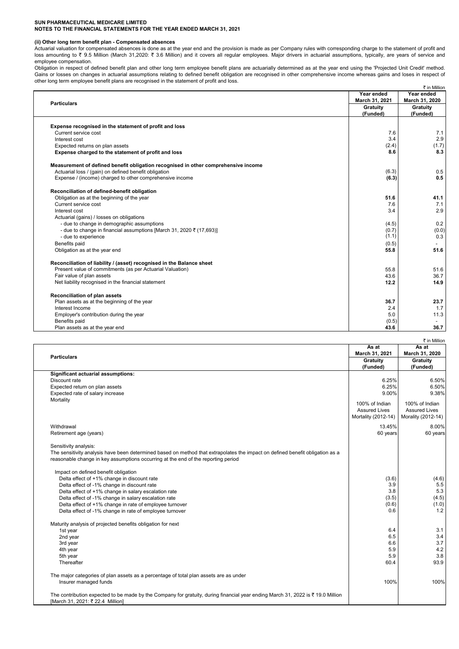### **(ii) Other long term benefit plan - Compensated absences**

Actuarial valuation for compensated absences is done as at the year end and the provision is made as per Company rules with corresponding charge to the statement of profit and loss amounting to ₹ 9.5 Million (March 31,2020: ₹ 3.6 Million) and it covers all regular employees. Major drivers in actuarial assumptions, typically, are years of service and employee compensation.

 in Million Obligation in respect of defined benefit plan and other long term employee benefit plans are actuarially determined as at the year end using the 'Projected Unit Credit' method. Gains or losses on changes in actuarial assumptions relating to defined benefit obligation are recognised in other comprehensive income whereas gains and loses in respect of other long term employee benefit plans are recognised in the statement of profit and loss.

|                                                                                    |                | ₹ in Million   |
|------------------------------------------------------------------------------------|----------------|----------------|
|                                                                                    | Year ended     | Year ended     |
| <b>Particulars</b>                                                                 | March 31, 2021 | March 31, 2020 |
|                                                                                    | Gratuity       | Gratuity       |
|                                                                                    | (Funded)       | (Funded)       |
| Expense recognised in the statement of profit and loss                             |                |                |
| Current service cost                                                               | 7.6            | 7.1            |
| Interest cost                                                                      | 3.4            | 2.9            |
| Expected returns on plan assets                                                    | (2.4)          | (1.7)          |
| Expense charged to the statement of profit and loss                                | 8.6            | 8.3            |
| Measurement of defined benefit obligation recognised in other comprehensive income |                |                |
| Actuarial loss / (gain) on defined benefit obligation                              | (6.3)          | 0.5            |
| Expense / (income) charged to other comprehensive income                           | (6.3)          | 0.5            |
| Reconciliation of defined-benefit obligation                                       |                |                |
| Obligation as at the beginning of the year                                         | 51.6           | 41.1           |
| Current service cost                                                               | 7.6            | 7.1            |
| Interest cost                                                                      | 3.4            | 2.9            |
| Actuarial (gains) / losses on obligations                                          |                |                |
| - due to change in demographic assumptions                                         | (4.5)          | 0.2            |
| - due to change in financial assumptions [March 31, 2020 ₹ (17,693)]               | (0.7)          | (0.0)          |
| - due to experience                                                                | (1.1)          | 0.3            |
| Benefits paid                                                                      | (0.5)          |                |
| Obligation as at the year end                                                      | 55.8           | 51.6           |
| Reconciliation of liability / (asset) recognised in the Balance sheet              |                |                |
| Present value of commitments (as per Actuarial Valuation)                          | 55.8           | 51.6           |
| Fair value of plan assets                                                          | 43.6           | 36.7           |
| Net liability recognised in the financial statement                                | 12.2           | 14.9           |
| Reconciliation of plan assets                                                      |                |                |
| Plan assets as at the beginning of the year                                        | 36.7           | 23.7           |
| Interest Income                                                                    | 2.4            | 1.7            |
| Employer's contribution during the year                                            | 5.0            | 11.3           |
| Benefits paid                                                                      | (0.5)          |                |
| Plan assets as at the year end                                                     | 43.6           | 36.7           |

|                                                                                                                                 |                      | ₹ in Million         |
|---------------------------------------------------------------------------------------------------------------------------------|----------------------|----------------------|
|                                                                                                                                 | As at                | As at                |
| <b>Particulars</b>                                                                                                              | March 31, 2021       | March 31, 2020       |
|                                                                                                                                 | Gratuity             | Gratuity             |
|                                                                                                                                 | (Funded)             | (Funded)             |
| <b>Significant actuarial assumptions:</b>                                                                                       |                      |                      |
| Discount rate                                                                                                                   | 6.25%                | 6.50%                |
| Expected return on plan assets                                                                                                  | 6.25%                | 6.50%                |
| Expected rate of salary increase                                                                                                | 9.00%                | 9.38%                |
| Mortality                                                                                                                       | 100% of Indian       | 100% of Indian       |
|                                                                                                                                 | <b>Assured Lives</b> | <b>Assured Lives</b> |
|                                                                                                                                 | Mortality (2012-14)  | Morality (2012-14)   |
|                                                                                                                                 |                      |                      |
| Withdrawal                                                                                                                      | 13.45%               | 8.00%                |
| Retirement age (years)                                                                                                          | 60 years             | 60 years             |
|                                                                                                                                 |                      |                      |
| Sensitivity analysis:                                                                                                           |                      |                      |
| The sensitivity analysis have been determined based on method that extrapolates the impact on defined benefit obligation as a   |                      |                      |
| reasonable change in key assumptions occurring at the end of the reporting period                                               |                      |                      |
| Impact on defined benefit obligation                                                                                            |                      |                      |
| Delta effect of +1% change in discount rate                                                                                     | (3.6)                | (4.6)                |
| Delta effect of -1% change in discount rate                                                                                     | 3.9                  | 5.5                  |
| Delta effect of +1% change in salary escalation rate                                                                            | 3.8                  | 5.3                  |
| Delta effect of -1% change in salary escalation rate                                                                            | (3.5)                | (4.5)                |
| Delta effect of +1% change in rate of employee turnover                                                                         | (0.6)                | (1.0)                |
| Delta effect of -1% change in rate of employee turnover                                                                         | 0.6                  | 1.2                  |
| Maturity analysis of projected benefits obligation for next                                                                     |                      |                      |
| 1st year                                                                                                                        | 6.4                  | 3.1                  |
| 2nd year                                                                                                                        | 6.5                  | 3.4                  |
| 3rd year                                                                                                                        | 6.6                  | 3.7                  |
| 4th year                                                                                                                        | 5.9                  | 4.2                  |
| 5th year                                                                                                                        | 5.9                  | 3.8                  |
| Thereafter                                                                                                                      | 60.4                 | 93.9                 |
| The major categories of plan assets as a percentage of total plan assets are as under                                           |                      |                      |
| Insurer managed funds                                                                                                           | 100%                 | 100%                 |
|                                                                                                                                 |                      |                      |
| The contribution expected to be made by the Company for gratuity, during financial year ending March 31, 2022 is ₹ 19.0 Million |                      |                      |
| [March 31, 2021: ₹ 22.4 Million]                                                                                                |                      |                      |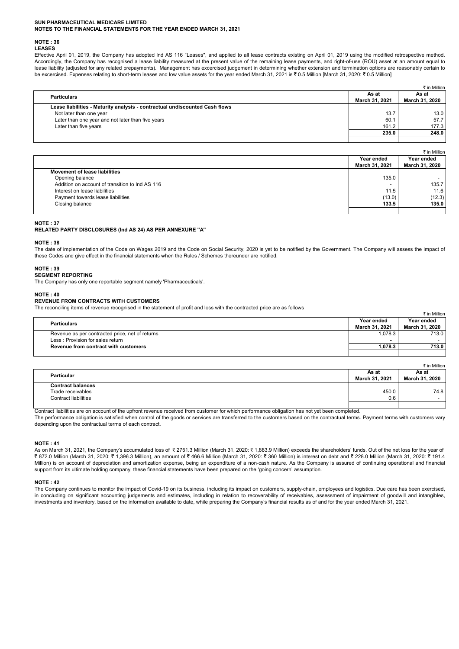### **NOTE : 36 LEASES**

Effective April 01, 2019, the Company has adopted lnd AS 116 "Leases", and applied to all lease contracts existing on April 01, 2019 using the modified retrospective method. Accordingly, the Company has recognised a lease liability measured at the present value of the remaining lease payments, and right-of-use (ROU) asset at an amount equal to lease liability (adjusted for any related prepayments). Management has excercised judgement in determining whether extension and termination options are reasonably certain to be excercised. Expenses relating to short-term leases and low value assets for the year ended March 31, 2021 is ₹ 0.5 Million [March 31, 2020: ₹ 0.5 Million]

|                                                                             |                         | ₹ in Million            |
|-----------------------------------------------------------------------------|-------------------------|-------------------------|
| <b>Particulars</b>                                                          | As at<br>March 31, 2021 | As at<br>March 31, 2020 |
| Lease liabilities - Maturity analysis - contractual undiscounted Cash flows |                         |                         |
| Not later than one year                                                     | 13.7                    | 13.0                    |
| Later than one year and not later than five years                           | 60.1                    | 57.7                    |
| Later than five years                                                       | 161.2                   | 177.3                   |
|                                                                             | 235.0                   | 248.0                   |
|                                                                             |                         |                         |

|                                                 |                | ₹ in Million   |
|-------------------------------------------------|----------------|----------------|
|                                                 | Year ended     | Year ended     |
|                                                 | March 31, 2021 | March 31, 2020 |
| <b>Movement of lease liabilities</b>            |                |                |
| Opening balance                                 | 135.0          |                |
| Addition on account of transition to Ind AS 116 | -              | 135.7          |
| Interest on lease liabilities                   | 11.5           | 11.6           |
| Payment towards lease liabilities               | (13.0)         | (12.3)         |
| Closing balance                                 | 133.5          | 135.0          |
|                                                 |                |                |

### **NOTE : 37**

### **RELATED PARTY DISCLOSURES (Ind AS 24) AS PER ANNEXURE "A"**

### **NOTE : 38**

The date of implementation of the Code on Wages 2019 and the Code on Social Security, 2020 is yet to be notified by the Government. The Company will assess the impact of these Codes and give effect in the financial statements when the Rules / Schemes thereunder are notified.

### **NOTE : 39 SEGMENT REPORTING**

The Company has only one reportable segment namely 'Pharmaceuticals'.

### **NOTE : 40**

### **REVENUE FROM CONTRACTS WITH CUSTOMERS**

The reconciling items of revenue recognised in the statement of profit and loss with the contracted price are as follows

|                                                 |                | . III IVIIIIUII          |
|-------------------------------------------------|----------------|--------------------------|
| <b>Particulars</b>                              | Year ended     | Year ended               |
|                                                 | March 31, 2021 | March 31, 2020           |
| Revenue as per contracted price, net of returns | 1.078.3        | 713.0                    |
| Less: Provision for sales return                |                | $\overline{\phantom{0}}$ |
| Revenue from contract with customers            | 1.078.3        | 713.0                    |
|                                                 |                |                          |

in Million

|                                                                              |                         |              | ₹ in Million            |
|------------------------------------------------------------------------------|-------------------------|--------------|-------------------------|
| <b>Particular</b>                                                            | As at<br>March 31, 2021 |              | As at<br>March 31, 2020 |
| <b>Contract balances</b><br>Trade receivables<br><b>Contract liabilities</b> |                         | 450.0<br>0.6 | 74.8<br>$\sim$          |
|                                                                              |                         |              |                         |

Contract liabilities are on account of the upfront revenue received from customer for which performance obligation has not yet been completed.

The performance obligation is satisfied when control of the goods or services are transferred to the customers based on the contractual terms. Payment terms with customers vary depending upon the contractual terms of each contract.

### **NOTE : 41**

As on March 31, 2021, the Company's accumulated loss of ₹2751.3 Million (March 31, 2020: ₹1,883.9 Million) exceeds the shareholders' funds. Out of the net loss for the year of ₹ 872.0 Million (March 31, 2020: ₹ 1,396.3 Million), an amount of ₹ 466.6 Million (March 31, 2020: ₹ 360 Million) is interest on debt and ₹ 228.0 Million (March 31, 2020: ₹ 191.4 Million) is on account of depreciation and amortization expense, being an expenditure of a non-cash nature. As the Company is assured of continuing operational and financial support from its ultimate holding company, these financial statements have been prepared on the 'going concern' assumption.

### **NOTE : 42**

The Company continues to monitor the impact of Covid-19 on its business, including its impact on customers, supply-chain, employees and logistics. Due care has been exercised, in concluding on significant accounting judgements and estimates, including in relation to recoverability of receivables, assessment of impairment of goodwill and intangibles, investments and inventory, based on the information available to date, while preparing the Company's financial results as of and for the year ended March 31, 2021.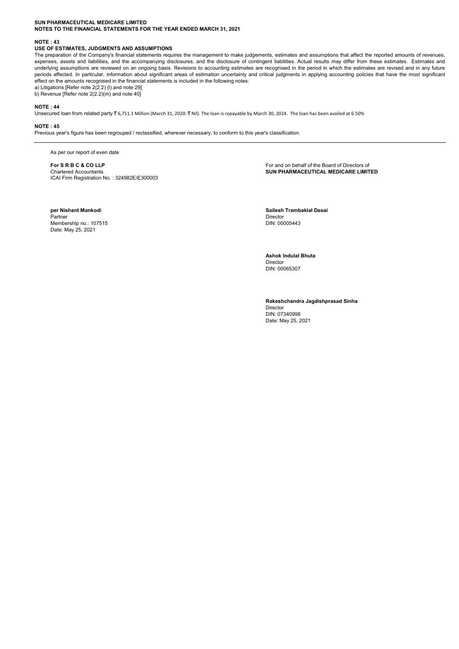### **NOTE : 43**

### **USE OF ESTIMATES, JUDGMENTS AND ASSUMPTIONS**

The preparation of the Company's financial statements requires the management to make judgements, estimates and assumptions that affect the reported amounts of revenues, expenses, assets and liabilities, and the accompanying disclosures, and the disclosure of contingent liabilities. Actual results may differ from these estimates. Estimates and underlying assumptions are reviewed on an ongoing basis. Revisions to accounting estimates are recognised in the period in which the estimates are revised and in any future periods affected. In particular, information about significant areas of estimation uncertainty and critical judgments in applying accounting policies that have the most significant effect on the amounts recognised in the financial statements is included in the following notes:

a) Litigations [Refer note 2(2.2) (l) and note 29] b) Revenue [Refer note 2(2.2)(m) and note 40]

### **NOTE : 44**

Unsecured loan from related party ₹ 6,751.1 Million (March 31, 2020: ₹ Nil). The loan is repayable by March 30, 2024. The loan has been availed at 6.50%

### **NOTE : 45**

Previous year's figure has been regrouped / reclassified, wherever necessary, to conform to this year's classification.

As per our report of even date

**For S R B C & CO LLP**<br>
Chartered Accountants<br>
Chartered Accountants ICAI Firm Registration No. : 324982E/E300003

**SUN PHARMACEUTICAL MEDICARE LIMITED** 

**per Nishant Mankodi Sailesh Trambaklal Desai** Partner Director Communication and the communication of the communication of the Director Membership no.: 107515 DIN: 00005443 Date: May 25, 2021

**Ashok Indulal Bhuta** Director DIN: 00065307

**Rakeshchandra Jagdishprasad Sinha Director** DIN: 07340998 Date: May 25, 2021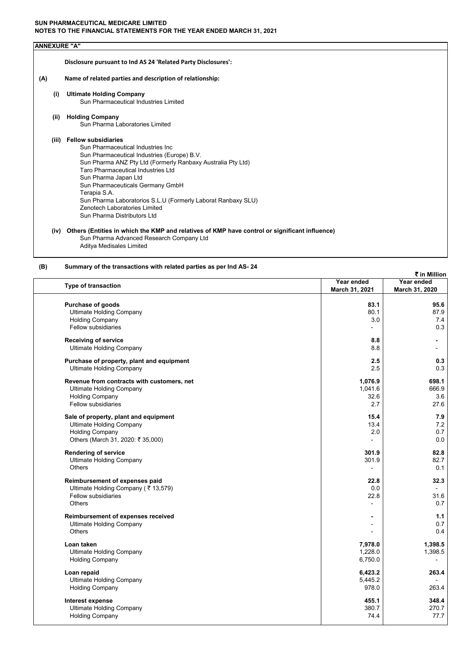|     | <b>ANNEXURE "A"</b> |                                                                                                                                                                                                                                                                                                                                                                                                                                  |  |
|-----|---------------------|----------------------------------------------------------------------------------------------------------------------------------------------------------------------------------------------------------------------------------------------------------------------------------------------------------------------------------------------------------------------------------------------------------------------------------|--|
|     |                     |                                                                                                                                                                                                                                                                                                                                                                                                                                  |  |
|     |                     | Disclosure pursuant to Ind AS 24 'Related Party Disclosures':                                                                                                                                                                                                                                                                                                                                                                    |  |
| (A) |                     | Name of related parties and description of relationship:                                                                                                                                                                                                                                                                                                                                                                         |  |
|     | (i)                 | <b>Ultimate Holding Company</b><br>Sun Pharmaceutical Industries Limited                                                                                                                                                                                                                                                                                                                                                         |  |
|     | (ii)                | <b>Holding Company</b><br>Sun Pharma Laboratories Limited                                                                                                                                                                                                                                                                                                                                                                        |  |
|     | (iii)               | <b>Fellow subsidiaries</b><br>Sun Pharmaceutical Industries Inc.<br>Sun Pharmaceutical Industries (Europe) B.V.<br>Sun Pharma ANZ Pty Ltd (Formerly Ranbaxy Australia Pty Ltd)<br>Taro Pharmaceutical Industries Ltd<br>Sun Pharma Japan Ltd<br>Sun Pharmaceuticals Germany GmbH<br>Terapia S.A.<br>Sun Pharma Laboratorios S.L.U (Formerly Laborat Ranbaxy SLU)<br>Zenotech Laboratories Limited<br>Sun Pharma Distributors Ltd |  |
|     | (iv)                | Others (Entities in which the KMP and relatives of KMP have control or significant influence)<br>Sun Pharma Advanced Research Company Ltd<br>Aditya Medisales Limited                                                                                                                                                                                                                                                            |  |

# **(B) Summary of the transactions with related parties as per Ind AS- 24**

| ₹ in Million                               |                |                |
|--------------------------------------------|----------------|----------------|
| Type of transaction                        | Year ended     | Year ended     |
|                                            | March 31, 2021 | March 31, 2020 |
| Purchase of goods                          | 83.1           | 95.6           |
| <b>Ultimate Holding Company</b>            | 80.1           | 87.9           |
|                                            |                |                |
| <b>Holding Company</b>                     | 3.0            | 7.4            |
| <b>Fellow subsidiaries</b>                 |                | 0.3            |
| <b>Receiving of service</b>                | 8.8            |                |
| <b>Ultimate Holding Company</b>            | 8.8            |                |
| Purchase of property, plant and equipment  | 2.5            | 0.3            |
| <b>Ultimate Holding Company</b>            | 2.5            | 0.3            |
| Revenue from contracts with customers, net | 1,076.9        | 698.1          |
| <b>Ultimate Holding Company</b>            | 1,041.6        | 666.9          |
| <b>Holding Company</b>                     | 32.6           | 3.6            |
| <b>Fellow subsidiaries</b>                 | 2.7            | 27.6           |
|                                            |                |                |
| Sale of property, plant and equipment      | 15.4           | 7.9            |
| <b>Ultimate Holding Company</b>            | 13.4           | 7.2            |
| <b>Holding Company</b>                     | 2.0            | 0.7            |
| Others (March 31, 2020: ₹ 35,000)          |                | 0.0            |
| <b>Rendering of service</b>                | 301.9          | 82.8           |
| <b>Ultimate Holding Company</b>            | 301.9          | 82.7           |
| <b>Others</b>                              |                | 0.1            |
|                                            |                |                |
| Reimbursement of expenses paid             | 22.8           | 32.3           |
| Ultimate Holding Company (₹13,579)         | 0.0            |                |
| <b>Fellow subsidiaries</b>                 | 22.8           | 31.6           |
| <b>Others</b>                              |                | 0.7            |
| Reimbursement of expenses received         |                | 1.1            |
| <b>Ultimate Holding Company</b>            |                | 0.7            |
| <b>Others</b>                              |                | 0.4            |
| Loan taken                                 | 7,978.0        | 1,398.5        |
| <b>Ultimate Holding Company</b>            | 1,228.0        | 1,398.5        |
| <b>Holding Company</b>                     | 6,750.0        |                |
|                                            |                |                |
| Loan repaid                                | 6,423.2        | 263.4          |
| <b>Ultimate Holding Company</b>            | 5,445.2        |                |
| <b>Holding Company</b>                     | 978.0          | 263.4          |
| Interest expense                           | 455.1          | 348.4          |
| <b>Ultimate Holding Company</b>            | 380.7          | 270.7          |
| <b>Holding Company</b>                     | 74.4           | 77.7           |
|                                            |                |                |